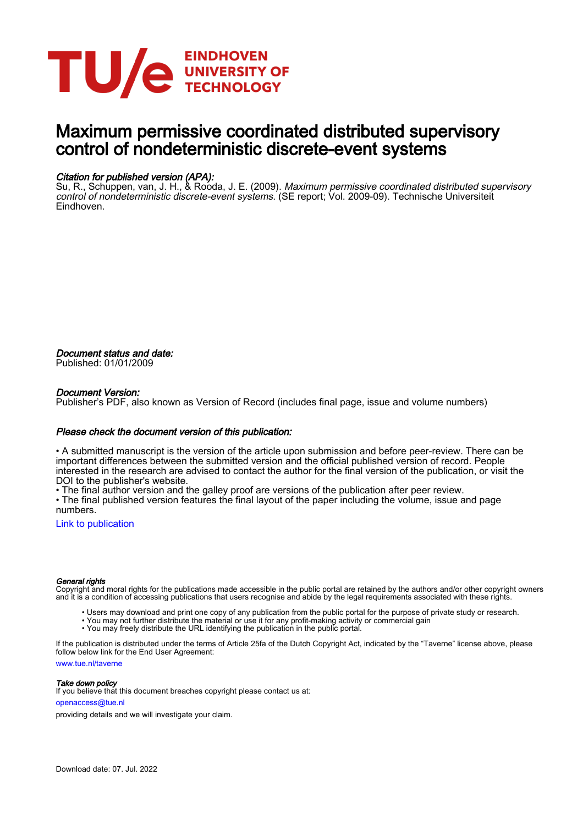

### Maximum permissive coordinated distributed supervisory control of nondeterministic discrete-event systems

### Citation for published version (APA):

Su, R., Schuppen, van, J. H., & Rooda, J. E. (2009). *Maximum permissive coordinated distributed supervisory* control of nondeterministic discrete-event systems. (SE report; Vol. 2009-09). Technische Universiteit Eindhoven.

Document status and date: Published: 01/01/2009

#### Document Version:

Publisher's PDF, also known as Version of Record (includes final page, issue and volume numbers)

#### Please check the document version of this publication:

• A submitted manuscript is the version of the article upon submission and before peer-review. There can be important differences between the submitted version and the official published version of record. People interested in the research are advised to contact the author for the final version of the publication, or visit the DOI to the publisher's website.

• The final author version and the galley proof are versions of the publication after peer review.

• The final published version features the final layout of the paper including the volume, issue and page numbers.

[Link to publication](https://research.tue.nl/en/publications/27b47944-7a5f-4928-ab34-7ff582e9060d)

#### General rights

Copyright and moral rights for the publications made accessible in the public portal are retained by the authors and/or other copyright owners and it is a condition of accessing publications that users recognise and abide by the legal requirements associated with these rights.

- Users may download and print one copy of any publication from the public portal for the purpose of private study or research.
- You may not further distribute the material or use it for any profit-making activity or commercial gain
- You may freely distribute the URL identifying the publication in the public portal.

If the publication is distributed under the terms of Article 25fa of the Dutch Copyright Act, indicated by the "Taverne" license above, please follow below link for the End User Agreement:

www.tue.nl/taverne

**Take down policy**<br>If you believe that this document breaches copyright please contact us at:

openaccess@tue.nl

providing details and we will investigate your claim.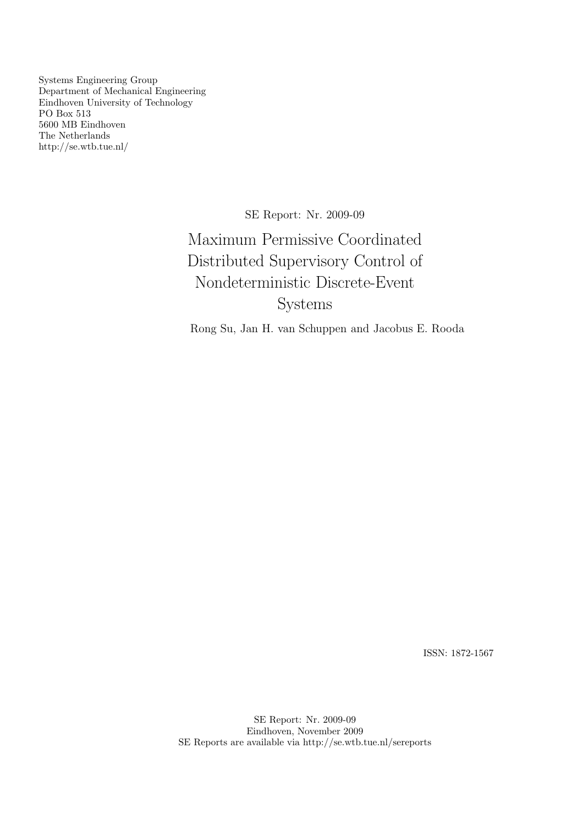Systems Engineering Group Department of Mechanical Engineering Eindhoven University of Technology PO Box 513 5600 MB Eindhoven The Netherlands http://se.wtb.tue.nl/

SE Report: Nr. 2009-09

Maximum Permissive Coordinated Distributed Supervisory Control of Nondeterministic Discrete-Event Systems

Rong Su, Jan H. van Schuppen and Jacobus E. Rooda

ISSN: 1872-1567

SE Report: Nr. 2009-09 Eindhoven, November 2009 SE Reports are available via http://se.wtb.tue.nl/sereports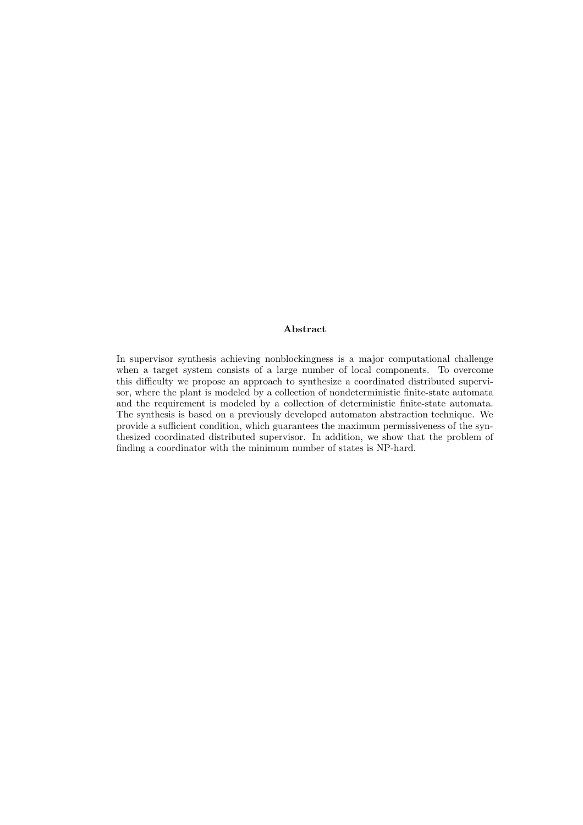#### Abstract

In supervisor synthesis achieving nonblockingness is a major computational challenge when a target system consists of a large number of local components. To overcome this difficulty we propose an approach to synthesize a coordinated distributed supervisor, where the plant is modeled by a collection of nondeterministic finite-state automata and the requirement is modeled by a collection of deterministic finite-state automata. The synthesis is based on a previously developed automaton abstraction technique. We provide a sufficient condition, which guarantees the maximum permissiveness of the synthesized coordinated distributed supervisor. In addition, we show that the problem of finding a coordinator with the minimum number of states is NP-hard.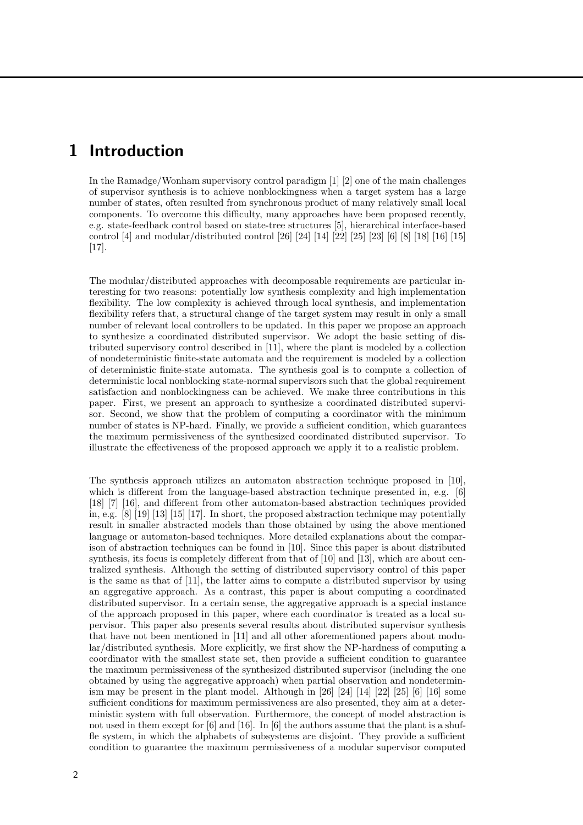### 1 Introduction

In the Ramadge/Wonham supervisory control paradigm [1] [2] one of the main challenges of supervisor synthesis is to achieve nonblockingness when a target system has a large number of states, often resulted from synchronous product of many relatively small local components. To overcome this difficulty, many approaches have been proposed recently, e.g. state-feedback control based on state-tree structures [5], hierarchical interface-based control [4] and modular/distributed control [26] [24] [14] [22] [25] [23] [6] [8] [18] [16] [15] [17].

The modular/distributed approaches with decomposable requirements are particular interesting for two reasons: potentially low synthesis complexity and high implementation flexibility. The low complexity is achieved through local synthesis, and implementation flexibility refers that, a structural change of the target system may result in only a small number of relevant local controllers to be updated. In this paper we propose an approach to synthesize a coordinated distributed supervisor. We adopt the basic setting of distributed supervisory control described in [11], where the plant is modeled by a collection of nondeterministic finite-state automata and the requirement is modeled by a collection of deterministic finite-state automata. The synthesis goal is to compute a collection of deterministic local nonblocking state-normal supervisors such that the global requirement satisfaction and nonblockingness can be achieved. We make three contributions in this paper. First, we present an approach to synthesize a coordinated distributed supervisor. Second, we show that the problem of computing a coordinator with the minimum number of states is NP-hard. Finally, we provide a sufficient condition, which guarantees the maximum permissiveness of the synthesized coordinated distributed supervisor. To illustrate the effectiveness of the proposed approach we apply it to a realistic problem.

The synthesis approach utilizes an automaton abstraction technique proposed in [10], which is different from the language-based abstraction technique presented in, e.g. [6] [18] [7] [16], and different from other automaton-based abstraction techniques provided in, e.g. [8] [19] [13] [15] [17]. In short, the proposed abstraction technique may potentially result in smaller abstracted models than those obtained by using the above mentioned language or automaton-based techniques. More detailed explanations about the comparison of abstraction techniques can be found in [10]. Since this paper is about distributed synthesis, its focus is completely different from that of [10] and [13], which are about centralized synthesis. Although the setting of distributed supervisory control of this paper is the same as that of [11], the latter aims to compute a distributed supervisor by using an aggregative approach. As a contrast, this paper is about computing a coordinated distributed supervisor. In a certain sense, the aggregative approach is a special instance of the approach proposed in this paper, where each coordinator is treated as a local supervisor. This paper also presents several results about distributed supervisor synthesis that have not been mentioned in [11] and all other aforementioned papers about modular/distributed synthesis. More explicitly, we first show the NP-hardness of computing a coordinator with the smallest state set, then provide a sufficient condition to guarantee the maximum permissiveness of the synthesized distributed supervisor (including the one obtained by using the aggregative approach) when partial observation and nondeterminism may be present in the plant model. Although in [26] [24] [14] [22] [25] [6] [16] some sufficient conditions for maximum permissiveness are also presented, they aim at a deterministic system with full observation. Furthermore, the concept of model abstraction is not used in them except for [6] and [16]. In [6] the authors assume that the plant is a shuffle system, in which the alphabets of subsystems are disjoint. They provide a sufficient condition to guarantee the maximum permissiveness of a modular supervisor computed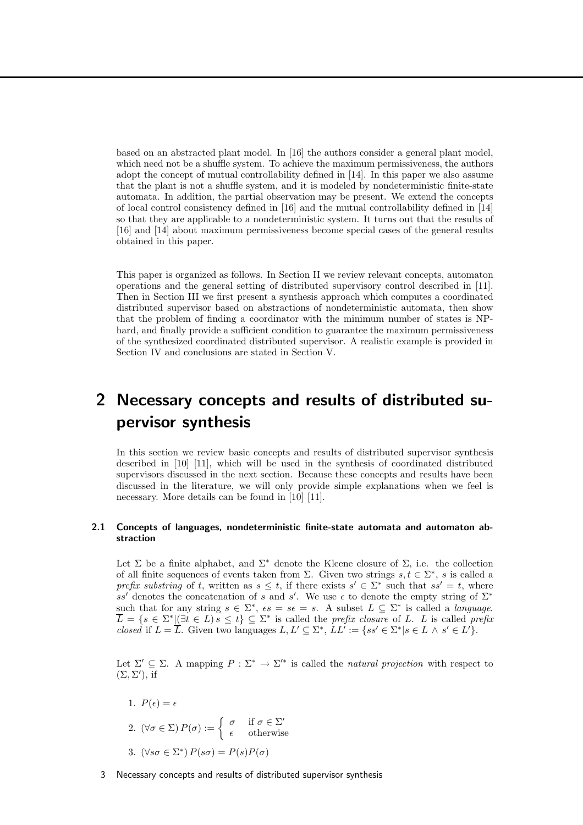based on an abstracted plant model. In [16] the authors consider a general plant model, which need not be a shuffle system. To achieve the maximum permissiveness, the authors adopt the concept of mutual controllability defined in [14]. In this paper we also assume that the plant is not a shuffle system, and it is modeled by nondeterministic finite-state automata. In addition, the partial observation may be present. We extend the concepts of local control consistency defined in [16] and the mutual controllability defined in [14] so that they are applicable to a nondeterministic system. It turns out that the results of [16] and [14] about maximum permissiveness become special cases of the general results obtained in this paper.

This paper is organized as follows. In Section II we review relevant concepts, automaton operations and the general setting of distributed supervisory control described in [11]. Then in Section III we first present a synthesis approach which computes a coordinated distributed supervisor based on abstractions of nondeterministic automata, then show that the problem of finding a coordinator with the minimum number of states is NPhard, and finally provide a sufficient condition to guarantee the maximum permissiveness of the synthesized coordinated distributed supervisor. A realistic example is provided in Section IV and conclusions are stated in Section V.

## 2 Necessary concepts and results of distributed supervisor synthesis

In this section we review basic concepts and results of distributed supervisor synthesis described in [10] [11], which will be used in the synthesis of coordinated distributed supervisors discussed in the next section. Because these concepts and results have been discussed in the literature, we will only provide simple explanations when we feel is necessary. More details can be found in [10] [11].

#### 2.1 Concepts of languages, nondeterministic finite-state automata and automaton abstraction

Let  $\Sigma$  be a finite alphabet, and  $\Sigma^*$  denote the Kleene closure of  $\Sigma$ , i.e. the collection of all finite sequences of events taken from  $\Sigma$ . Given two strings  $s, t \in \Sigma^*$ , s is called a prefix substring of t, written as  $s \leq t$ , if there exists  $s' \in \Sigma^*$  such that  $ss' = t$ , where ss' denotes the concatenation of s and s'. We use  $\epsilon$  to denote the empty string of  $\Sigma^*$ such that for any string  $s \in \Sigma^*$ ,  $\epsilon s = s \epsilon = s$ . A subset  $L \subseteq \Sigma^*$  is called a *language*.  $\overline{L} = \{s \in \Sigma^* | (\exists t \in L) s \le t\} \subseteq \Sigma^*$  is called the prefix closure of L. L is called prefix *closed* if  $L = \overline{L}$ . Given two languages  $L, L' \subseteq \Sigma^*, LL' := \{ss' \in \Sigma^* | s \in L \wedge s' \in L'\}.$ 

Let  $\Sigma' \subseteq \Sigma$ . A mapping  $P : \Sigma^* \to \Sigma'^*$  is called the *natural projection* with respect to  $(\Sigma, \Sigma'),$  if

- 1.  $P(\epsilon) = \epsilon$ 2.  $(\forall \sigma \in \Sigma) P(\sigma) := \begin{cases} \sigma & \text{if } \sigma \in \Sigma' \\ \sigma & \text{otherwise} \end{cases}$  $\epsilon$  otherwise
- 3.  $(\forall s\sigma \in \Sigma^*) P(s\sigma) = P(s)P(\sigma)$
- 3 Necessary concepts and results of distributed supervisor synthesis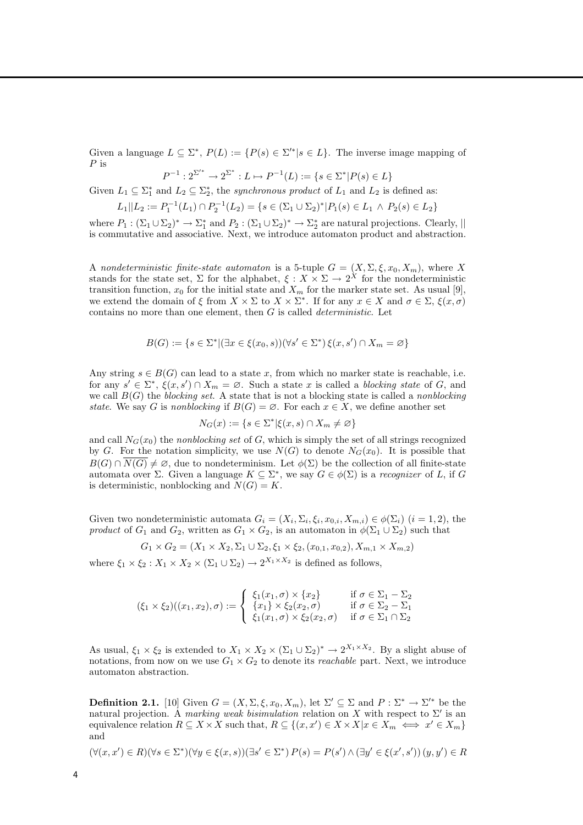Given a language  $L \subseteq \Sigma^*, P(L) := \{P(s) \in \Sigma'^* | s \in L\}.$  The inverse image mapping of P is

$$
P^{-1}: 2^{\Sigma'^*} \to 2^{\Sigma^*} : L \mapsto P^{-1}(L) := \{ s \in \Sigma^* | P(s) \in L \}
$$

Given  $L_1 \subseteq \Sigma_1^*$  and  $L_2 \subseteq \Sigma_2^*$ , the *synchronous product* of  $L_1$  and  $L_2$  is defined as:

$$
L_1||L_2 := P_1^{-1}(L_1) \cap P_2^{-1}(L_2) = \{ s \in (\Sigma_1 \cup \Sigma_2)^* | P_1(s) \in L_1 \land P_2(s) \in L_2 \}
$$

where  $P_1: (\Sigma_1 \cup \Sigma_2)^* \to \Sigma_1^*$  and  $P_2: (\Sigma_1 \cup \Sigma_2)^* \to \Sigma_2^*$  are natural projections. Clearly,  $||$ is commutative and associative. Next, we introduce automaton product and abstraction.

A nondeterministic finite-state automaton is a 5-tuple  $G = (X, \Sigma, \xi, x_0, X_m)$ , where X stands for the state set,  $\Sigma$  for the alphabet,  $\xi: X \times \Sigma \to 2^X$  for the nondeterministic transition function,  $x_0$  for the initial state and  $X_m$  for the marker state set. As usual [9], we extend the domain of  $\xi$  from  $X \times \Sigma$  to  $X \times \Sigma^*$ . If for any  $x \in X$  and  $\sigma \in \Sigma$ ,  $\xi(x, \sigma)$ contains no more than one element, then  $G$  is called *deterministic*. Let

$$
B(G) := \{ s \in \Sigma^* | (\exists x \in \xi(x_0, s))(\forall s' \in \Sigma^*) \xi(x, s') \cap X_m = \varnothing \}
$$

Any string  $s \in B(G)$  can lead to a state x, from which no marker state is reachable, i.e. for any  $s' \in \Sigma^*, \ \xi(x, s') \cap X_m = \varnothing$ . Such a state x is called a *blocking state* of G, and we call  $B(G)$  the blocking set. A state that is not a blocking state is called a nonblocking state. We say G is nonblocking if  $B(G) = \emptyset$ . For each  $x \in X$ , we define another set

$$
N_G(x) := \{ s \in \Sigma^* | \xi(x, s) \cap X_m \neq \varnothing \}
$$

and call  $N_G(x_0)$  the nonblocking set of G, which is simply the set of all strings recognized by G. For the notation simplicity, we use  $N(G)$  to denote  $N_G(x_0)$ . It is possible that  $B(G) \cap \overline{N(G)} \neq \emptyset$ , due to nondeterminism. Let  $\phi(\Sigma)$  be the collection of all finite-state automata over  $\Sigma$ . Given a language  $K \subseteq \Sigma^*$ , we say  $G \in \phi(\Sigma)$  is a recognizer of L, if G is deterministic, nonblocking and  $N(G) = K$ .

Given two nondeterministic automata  $G_i = (X_i, \Sigma_i, \xi_i, x_{0,i}, X_{m,i}) \in \phi(\Sigma_i)$   $(i = 1, 2)$ , the product of  $G_1$  and  $G_2$ , written as  $G_1 \times G_2$ , is an automaton in  $\phi(\Sigma_1 \cup \Sigma_2)$  such that

$$
G_1 \times G_2 = (X_1 \times X_2, \Sigma_1 \cup \Sigma_2, \xi_1 \times \xi_2, (x_{0,1}, x_{0,2}), X_{m,1} \times X_{m,2})
$$

where  $\xi_1 \times \xi_2 : X_1 \times X_2 \times (\Sigma_1 \cup \Sigma_2) \to 2^{X_1 \times X_2}$  is defined as follows,

$$
(\xi_1 \times \xi_2)((x_1, x_2), \sigma) := \begin{cases} \xi_1(x_1, \sigma) \times \{x_2\} & \text{if } \sigma \in \Sigma_1 - \Sigma_2 \\ \{x_1\} \times \xi_2(x_2, \sigma) & \text{if } \sigma \in \Sigma_2 - \Sigma_1 \\ \xi_1(x_1, \sigma) \times \xi_2(x_2, \sigma) & \text{if } \sigma \in \Sigma_1 \cap \Sigma_2 \end{cases}
$$

As usual,  $\xi_1 \times \xi_2$  is extended to  $X_1 \times X_2 \times (\Sigma_1 \cup \Sigma_2)^* \to 2^{X_1 \times X_2}$ . By a slight abuse of notations, from now on we use  $G_1 \times G_2$  to denote its *reachable* part. Next, we introduce automaton abstraction.

**Definition 2.1.** [10] Given  $G = (X, \Sigma, \xi, x_0, X_m)$ , let  $\Sigma' \subseteq \Sigma$  and  $P : \Sigma^* \to \Sigma'^*$  be the natural projection. A marking weak bisimulation relation on X with respect to  $\Sigma'$  is an equivalence relation  $R \subseteq X \times X$  such that,  $R \subseteq \{(x, x') \in X \times X | x \in X_m \iff x' \in X_m\}$ and

$$
(\forall (x, x') \in R)(\forall s \in \Sigma^*)(\forall y \in \xi(x, s))(\exists s' \in \Sigma^*) P(s) = P(s') \land (\exists y' \in \xi(x', s')) (y, y') \in R
$$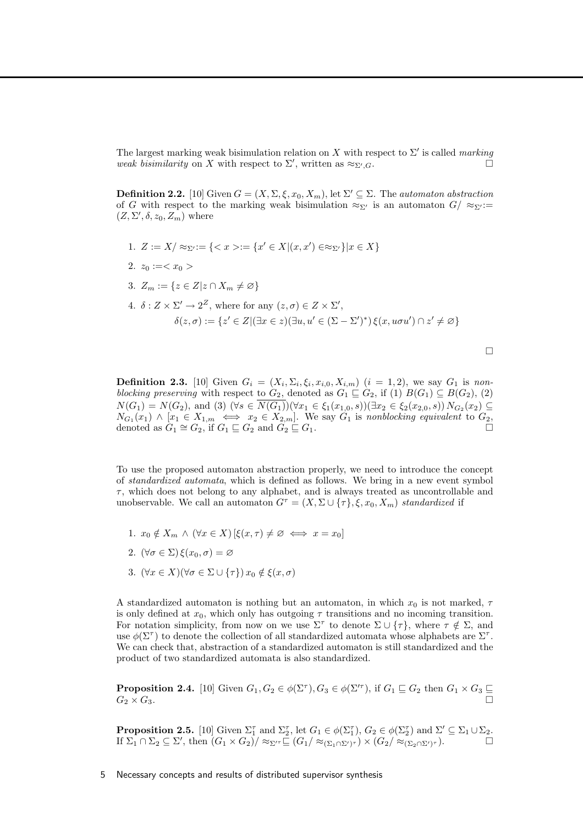The largest marking weak bisimulation relation on X with respect to  $\Sigma'$  is called marking weak bisimilarity on X with respect to  $\Sigma'$ , written as  $\approx_{\Sigma'}$  $G \cdot \square$ 

**Definition 2.2.** [10] Given  $G = (X, \Sigma, \xi, x_0, X_m)$ , let  $\Sigma' \subseteq \Sigma$ . The *automaton abstraction* of G with respect to the marking weak bisimulation  $\approx_{\Sigma'}$  is an automaton  $G/\approx_{\Sigma'}:=$  $(Z, \Sigma', \delta, z_0, Z_m)$  where

- 1.  $Z := X / \approx_{\Sigma'} := \{ \langle x \rangle := \{ x' \in X | (x, x') \in \approx_{\Sigma'} \} | x \in X \}$
- 2.  $z_0 :=$
- 3.  $Z_m := \{z \in Z | z \cap X_m \neq \emptyset\}$

4. 
$$
\delta : Z \times \Sigma' \to 2^Z
$$
, where for any  $(z, \sigma) \in Z \times \Sigma'$ ,  
\n
$$
\delta(z, \sigma) := \{ z' \in Z | (\exists x \in z) (\exists u, u' \in (\Sigma - \Sigma')^*) \xi(x, u\sigma u') \cap z' \neq \varnothing \}
$$

 $\Box$ 

**Definition 2.3.** [10] Given  $G_i = (X_i, \Sigma_i, \xi_i, x_{i,0}, X_{i,m})$   $(i = 1, 2)$ , we say  $G_1$  is nonblocking preserving with respect to  $G_2$ , denoted as  $G_1 \subseteq G_2$ , if  $(1)$   $B(G_1) \subseteq B(G_2)$ ,  $(2)$  $N(G_1) = N(G_2)$ , and (3)  $(\forall s \in N(G_1))(\forall x_1 \in \xi_1(x_{1,0}, s))(\exists x_2 \in \xi_2(x_{2,0}, s)) N_{G_2}(x_2) \subseteq$  $N_{G_1}(x_1) \wedge [x_1 \in X_{1,m} \iff x_2 \in X_{2,m}]$ . We say  $G_1$  is nonblocking equivalent to  $G_2$ , denoted as  $G_1 \cong G_2$ , if  $G_1 \sqsubseteq G_2$  and  $G_2 \sqsubseteq G_1$ .

To use the proposed automaton abstraction properly, we need to introduce the concept of standardized automata, which is defined as follows. We bring in a new event symbol  $\tau$ , which does not belong to any alphabet, and is always treated as uncontrollable and unobservable. We call an automaton  $G^{\tau} = (X, \Sigma \cup \{\tau\}, \xi, x_0, X_m)$  standardized if

- 1.  $x_0 \notin X_m \land (\forall x \in X) \, [\xi(x, \tau) \neq \emptyset \iff x = x_0]$
- 2.  $(\forall \sigma \in \Sigma) \xi(x_0, \sigma) = \varnothing$
- 3.  $(\forall x \in X)(\forall \sigma \in \Sigma \cup \{\tau\}) x_0 \notin \xi(x, \sigma)$

A standardized automaton is nothing but an automaton, in which  $x_0$  is not marked,  $\tau$ is only defined at  $x_0$ , which only has outgoing  $\tau$  transitions and no incoming transition. For notation simplicity, from now on we use  $\Sigma^{\tau}$  to denote  $\Sigma \cup {\tau}$ , where  $\tau \notin \Sigma$ , and use  $\phi(\Sigma^{\tau})$  to denote the collection of all standardized automata whose alphabets are  $\Sigma^{\tau}$ . We can check that, abstraction of a standardized automaton is still standardized and the product of two standardized automata is also standardized.

**Proposition 2.4.** [10] Given  $G_1, G_2 \in \phi(\Sigma^{\tau}), G_3 \in \phi(\Sigma^{\tau})$ , if  $G_1 \sqsubseteq G_2$  then  $G_1 \times G_3 \sqsubseteq$  $G_2 \times G_3$ .

**Proposition 2.5.** [10] Given  $\Sigma_1^{\tau}$  and  $\Sigma_2^{\tau}$ , let  $G_1 \in \phi(\Sigma_1^{\tau})$ ,  $G_2 \in \phi(\Sigma_2^{\tau})$  and  $\Sigma' \subseteq \Sigma_1 \cup \Sigma_2$ . If  $\Sigma_1 \cap \Sigma_2 \subseteq \Sigma'$ , then  $(G_1 \times G_2) / \approx_{\Sigma'} \sqsubseteq (G_1 / \approx_{(\Sigma_1 \cap \Sigma')^{\tau}}) \times (G_2 / \approx_{(\Sigma_2 \cap \Sigma')^{\tau}})$ .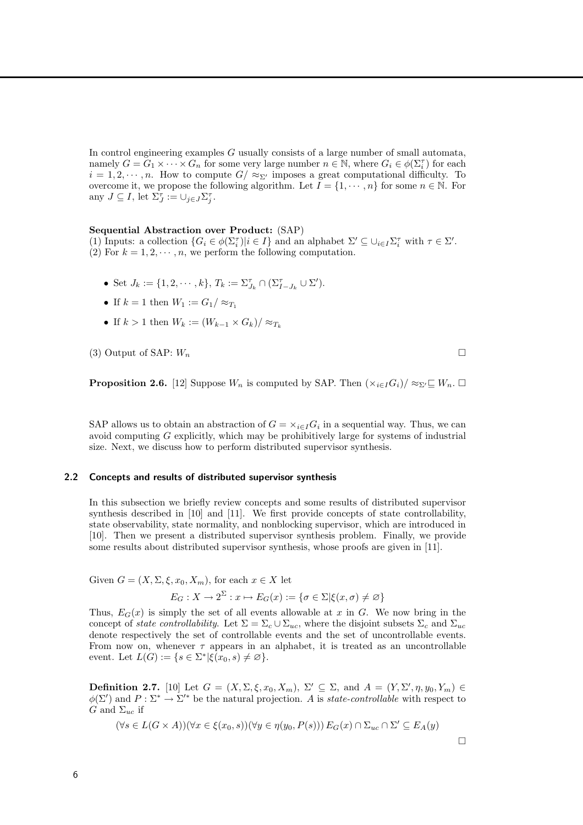In control engineering examples G usually consists of a large number of small automata, namely  $G = G_1 \times \cdots \times G_n$  for some very large number  $n \in \mathbb{N}$ , where  $G_i \in \phi(\Sigma_i^{\tau})$  for each  $i = 1, 2, \dots, n$ . How to compute  $G / \approx_{\Sigma'}$  imposes a great computational difficulty. To overcome it, we propose the following algorithm. Let  $I = \{1, \dots, n\}$  for some  $n \in \mathbb{N}$ . For any  $J \subseteq I$ , let  $\Sigma_J^{\tau} := \cup_{j \in J} \Sigma_j^{\tau}$ .

#### Sequential Abstraction over Product: (SAP)

(1) Inputs: a collection  $\{G_i \in \phi(\Sigma_i^{\tau}) | i \in I\}$  and an alphabet  $\Sigma' \subseteq \bigcup_{i \in I} \Sigma_i^{\tau}$  with  $\tau \in \Sigma'$ . (2) For  $k = 1, 2, \dots, n$ , we perform the following computation.

- Set  $J_k := \{1, 2, \cdots, k\}, T_k := \Sigma_{J_k}^{\tau} \cap (\Sigma_{I-J_k}^{\tau} \cup \Sigma')$ .
- If  $k = 1$  then  $W_1 := G_1 / \approx_{T_1}$
- If  $k > 1$  then  $W_k := (W_{k-1} \times G_k) / \approx_{T_k}$

(3) Output of SAP:  $W_n$ 

**Proposition 2.6.** [12] Suppose  $W_n$  is computed by SAP. Then  $(\times_{i \in I} G_i)/\approx_{\Sigma'} \subseteq W_n$ .  $\Box$ 

SAP allows us to obtain an abstraction of  $G = \times_{i \in I} G_i$  in a sequential way. Thus, we can avoid computing  $G$  explicitly, which may be prohibitively large for systems of industrial size. Next, we discuss how to perform distributed supervisor synthesis.

#### 2.2 Concepts and results of distributed supervisor synthesis

In this subsection we briefly review concepts and some results of distributed supervisor synthesis described in [10] and [11]. We first provide concepts of state controllability, state observability, state normality, and nonblocking supervisor, which are introduced in [10]. Then we present a distributed supervisor synthesis problem. Finally, we provide some results about distributed supervisor synthesis, whose proofs are given in [11].

Given  $G = (X, \Sigma, \xi, x_0, X_m)$ , for each  $x \in X$  let

$$
E_G: X \to 2^{\Sigma}: x \mapsto E_G(x) := \{ \sigma \in \Sigma | \xi(x, \sigma) \neq \varnothing \}
$$

Thus,  $E_G(x)$  is simply the set of all events allowable at x in G. We now bring in the concept of state controllability. Let  $\Sigma = \Sigma_c \cup \Sigma_{uc}$ , where the disjoint subsets  $\Sigma_c$  and  $\Sigma_{uc}$ denote respectively the set of controllable events and the set of uncontrollable events. From now on, whenever  $\tau$  appears in an alphabet, it is treated as an uncontrollable event. Let  $L(G) := \{ s \in \Sigma^* | \xi(x_0, s) \neq \varnothing \}.$ 

**Definition 2.7.** [10] Let  $G = (X, \Sigma, \xi, x_0, X_m)$ ,  $\Sigma' \subseteq \Sigma$ , and  $A = (Y, \Sigma', \eta, y_0, Y_m) \in$  $\phi(\Sigma')$  and  $P: \Sigma^* \to \Sigma'^*$  be the natural projection. A is state-controllable with respect to G and  $\Sigma_{uc}$  if

$$
(\forall s \in L(G \times A))(\forall x \in \xi(x_0, s))(\forall y \in \eta(y_0, P(s))) E_G(x) \cap \Sigma_{uc} \cap \Sigma' \subseteq E_A(y)
$$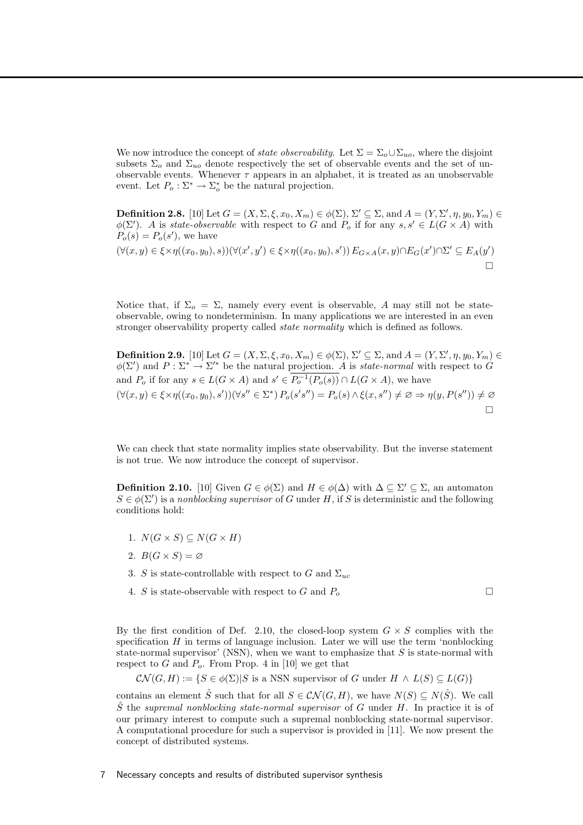We now introduce the concept of *state observability*. Let  $\Sigma = \Sigma_o \cup \Sigma_{uo}$ , where the disjoint subsets  $\Sigma_o$  and  $\Sigma_{uo}$  denote respectively the set of observable events and the set of unobservable events. Whenever  $\tau$  appears in an alphabet, it is treated as an unobservable event. Let  $P_o: \Sigma^* \to \Sigma_o^*$  be the natural projection.

**Definition 2.8.** [10] Let  $G = (X, \Sigma, \xi, x_0, X_m) \in \phi(\Sigma), \Sigma' \subseteq \Sigma$ , and  $A = (Y, \Sigma', \eta, y_0, Y_m) \in$  $\phi(\Sigma')$ . A is state-observable with respect to G and  $P_o$  if for any  $s, s' \in L(G \times A)$  with  $P_o(s) = P_o(s')$ , we have

$$
(\forall (x,y)\in\xi\times\eta((x_0,y_0),s))(\forall (x',y')\in\xi\times\eta((x_0,y_0),s'))\,E_{G\times A}(x,y)\cap E_G(x')\cap\Sigma'\subseteq E_A(y')\cap\Sigma'
$$

Notice that, if  $\Sigma_o = \Sigma$ , namely every event is observable, A may still not be stateobservable, owing to nondeterminism. In many applications we are interested in an even stronger observability property called state normality which is defined as follows.

**Definition 2.9.** [10] Let  $G = (X, \Sigma, \xi, x_0, X_m) \in \phi(\Sigma), \Sigma' \subseteq \Sigma$ , and  $A = (Y, \Sigma', \eta, y_0, Y_m) \in$  $\phi(\Sigma')$  and  $P : \Sigma^* \to \Sigma'^*$  be the natural projection. A is state-normal with respect to G and  $P_o$  if for any  $s \in L(G \times A)$  and  $s' \in P_o^{-1}(P_o(s)) \cap L(G \times A)$ , we have  $(\forall (x,y) \in \xi \times \eta((x_0,y_0),s'))(\forall s'' \in \Sigma^*) P_o(s's'') = P_o(s) \wedge \xi(x,s'') \neq \varnothing \Rightarrow \eta(y,P(s'')) \neq \varnothing$  $\Box$ 

We can check that state normality implies state observability. But the inverse statement is not true. We now introduce the concept of supervisor.

**Definition 2.10.** [10] Given  $G \in \phi(\Sigma)$  and  $H \in \phi(\Delta)$  with  $\Delta \subseteq \Sigma' \subseteq \Sigma$ , an automaton  $S \in \phi(\Sigma')$  is a nonblocking supervisor of G under H, if S is deterministic and the following conditions hold:

- 1.  $N(G \times S) \subseteq N(G \times H)$
- 2.  $B(G \times S) = \emptyset$
- 3. S is state-controllable with respect to G and  $\Sigma_{uc}$
- 4. S is state-observable with respect to G and  $P_o$

By the first condition of Def. 2.10, the closed-loop system  $G \times S$  complies with the specification  $H$  in terms of language inclusion. Later we will use the term 'nonblocking state-normal supervisor' (NSN), when we want to emphasize that  $S$  is state-normal with respect to G and  $P<sub>o</sub>$ . From Prop. 4 in [10] we get that

$$
CN(G, H) := \{ S \in \phi(\Sigma) | S \text{ is a NSN supervisor of } G \text{ under } H \wedge L(S) \subseteq L(G) \}
$$

contains an element  $\hat{S}$  such that for all  $S \in \mathcal{CN}(G,H)$ , we have  $N(S) \subseteq N(\hat{S})$ . We call  $\hat{S}$  the supremal nonblocking state-normal supervisor of G under H. In practice it is of our primary interest to compute such a supremal nonblocking state-normal supervisor. A computational procedure for such a supervisor is provided in [11]. We now present the concept of distributed systems.

#### 7 Necessary concepts and results of distributed supervisor synthesis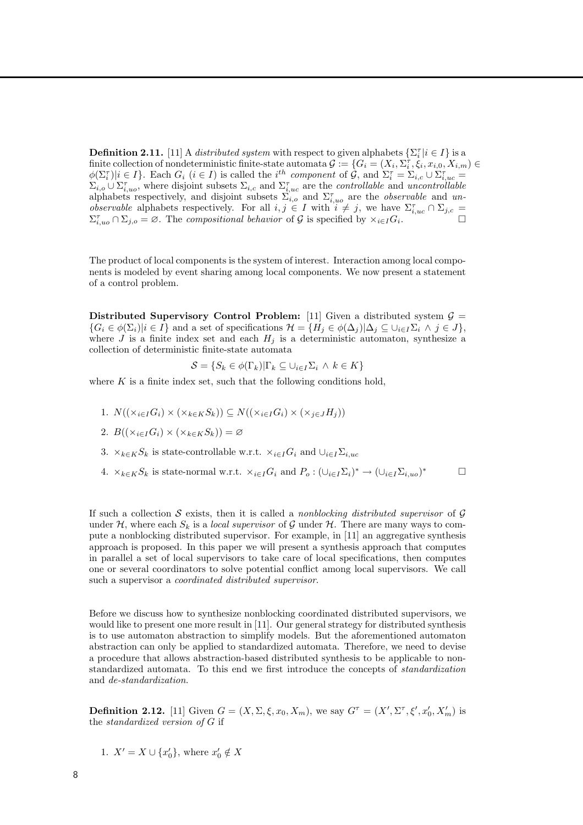**Definition 2.11.** [11] A *distributed system* with respect to given alphabets  $\{\Sigma_i^{\tau} | i \in I\}$  is a finite collection of nondeterministic finite-state automata  $\mathcal{G}:=\{G_i=(X_i,\Sigma_i^{\tau},\dot{\xi}_i,x_{i,0},X_{i,m})\in$ i φ(Σ<sup>τ</sup> i )|i ∈ I}. Each G<sup>i</sup> (i ∈ I) is called the i th component of G, and Σ<sup>τ</sup> <sup>i</sup> = Σi,c ∪ Σ τ i,uc =  $\Sigma_{i,o} \cup \Sigma_{i,uo}^{\tau}$ , where disjoint subsets  $\Sigma_{i,c}$  and  $\Sigma_{i,uc}^{\tau}$  are the *controllable* and *uncontrollable* alphabets respectively, and disjoint subsets  $\sum_{i,o}$  and  $\sum_{i,uo}^{\tau}$  are the *observable* and *unobservable* alphabets respectively. For all  $i, j \in I$  with  $i \neq j$ , we have  $\Sigma_{i,uc}^{\tau} \cap \Sigma_{j,c} =$  $\Sigma_{i,uo}^{\tau} \cap \Sigma_{j,o} = \varnothing$ . The compositional behavior of G is specified by  $\times_{i \in I} G_i$  $\overline{\phantom{a}}$ .

The product of local components is the system of interest. Interaction among local components is modeled by event sharing among local components. We now present a statement of a control problem.

Distributed Supervisory Control Problem: [11] Given a distributed system  $\mathcal{G} =$  $\{G_i \in \phi(\Sigma_i) | i \in I\}$  and a set of specifications  $\mathcal{H} = \{H_j \in \phi(\Delta_j) | \Delta_j \subseteq \cup_{i \in I} \Sigma_i \land j \in J\}$ , where J is a finite index set and each  $H_i$  is a deterministic automaton, synthesize a collection of deterministic finite-state automata

$$
\mathcal{S} = \{ S_k \in \phi(\Gamma_k) | \Gamma_k \subseteq \cup_{i \in I} \Sigma_i \land k \in K \}
$$

where  $K$  is a finite index set, such that the following conditions hold,

- 1.  $N((\times_{i\in I}G_i)\times(\times_{k\in K}S_k))\subseteq N((\times_{i\in I}G_i)\times(\times_{j\in J}H_j))$
- 2.  $B((\times_{i\in I}G_i)\times(\times_{k\in K}S_k))=\varnothing$
- 3.  $\times_{k\in K}S_k$  is state-controllable w.r.t.  $\times_{i\in I}G_i$  and  $\cup_{i\in I}\Sigma_{i,uc}$
- 4.  $\times_{k \in K} S_k$  is state-normal w.r.t.  $\times_{i \in I} G_i$  and  $P_o: (\cup_{i \in I} \Sigma_i)^* \to (\cup_{i \in I} \Sigma_{i,uo})$  $\Box$

If such a collection S exists, then it is called a nonblocking distributed supervisor of  $\mathcal G$ under H, where each  $S_k$  is a *local supervisor* of G under H. There are many ways to compute a nonblocking distributed supervisor. For example, in [11] an aggregative synthesis approach is proposed. In this paper we will present a synthesis approach that computes in parallel a set of local supervisors to take care of local specifications, then computes one or several coordinators to solve potential conflict among local supervisors. We call such a supervisor a coordinated distributed supervisor.

Before we discuss how to synthesize nonblocking coordinated distributed supervisors, we would like to present one more result in [11]. Our general strategy for distributed synthesis is to use automaton abstraction to simplify models. But the aforementioned automaton abstraction can only be applied to standardized automata. Therefore, we need to devise a procedure that allows abstraction-based distributed synthesis to be applicable to nonstandardized automata. To this end we first introduce the concepts of standardization and de-standardization.

**Definition 2.12.** [11] Given  $G = (X, \Sigma, \xi, x_0, X_m)$ , we say  $G^{\tau} = (X', \Sigma^{\tau}, \xi', x'_0, X'_m)$  is the standardized version of G if

1. 
$$
X' = X \cup \{x'_0\}
$$
, where  $x'_0 \notin X$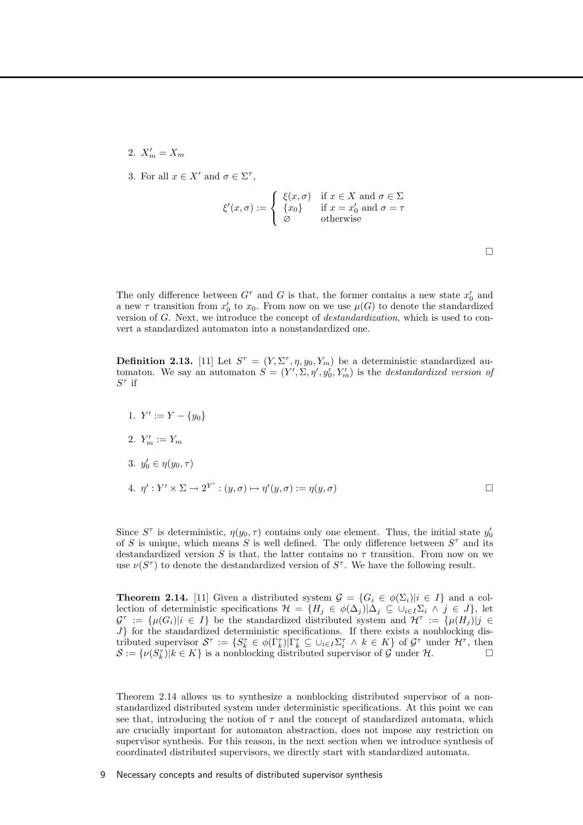- 2.  $X'_m = X_m$
- 3. For all  $x \in X'$  and  $\sigma \in \Sigma^{\tau}$ ,

$$
\xi'(x,\sigma) := \begin{cases} \xi(x,\sigma) & \text{if } x \in X \text{ and } \sigma \in \Sigma \\ \{x_0\} & \text{if } x = x'_0 \text{ and } \sigma = \tau \\ \varnothing & \text{otherwise} \end{cases}
$$

The only difference between  $G^{\tau}$  and G is that, the former contains a new state  $x'_{0}$  and a new  $\tau$  transition from  $x'_0$  to  $x_0$ . From now on we use  $\mu(G)$  to denote the standardized version of G. Next, we introduce the concept of destandardization, which is used to convert a standardized automaton into a nonstandardized one.

**Definition 2.13.** [11] Let  $S^{\tau} = (Y, \Sigma^{\tau}, \eta, y_0, Y_m)$  be a deterministic standardized automaton. We say an automaton  $S = (Y', \Sigma, \eta', y'_0, Y'_m)$  is the *destandardized version of*  $S^{\tau}$  if

- 1.  $Y' := Y \{y_0\}$
- 2.  $Y'_m := Y_m$
- 3.  $y'_0 \in \eta(y_0, \tau)$

4. 
$$
\eta' : Y' \times \Sigma \to 2^{Y'} : (y, \sigma) \mapsto \eta'(y, \sigma) := \eta(y, \sigma)
$$

Since  $S^{\tau}$  is deterministic,  $\eta(y_0, \tau)$  contains only one element. Thus, the initial state  $y'_0$ of S is unique, which means S is well defined. The only difference between  $S^{\tau}$  and its destandardized version S is that, the latter contains no  $\tau$  transition. From now on we use  $\nu(S^{\tau})$  to denote the destandardized version of  $S^{\tau}$ . We have the following result.

**Theorem 2.14.** [11] Given a distributed system  $\mathcal{G} = \{G_i \in \phi(\Sigma_i) | i \in I\}$  and a collection of deterministic specifications  $\mathcal{H} = \{H_j \in \phi(\Delta_j)|\Delta_j \subseteq \cup_{i \in I} \Sigma_i \land j \in J\}$ , let  $\mathcal{G}^{\tau} := {\mu(G_i)|i \in I}$  be the standardized distributed system and  $\mathcal{H}^{\tau} := {\mu(H_j)|j \in I}$  $J$  for the standardized deterministic specifications. If there exists a nonblocking distributed supervisor  $\mathcal{S}^{\tau} := \{ S_k^{\tau} \in \phi(\Gamma_k^{\tau}) | \Gamma_k^{\tau} \subseteq \cup_{i \in I} \Sigma_i^{\tau} \land k \in K \}$  of  $\mathcal{G}^{\tau}$  under  $\mathcal{H}^{\tau}$ , then  $\mathcal{S} := \{ \nu(S_k^{\tau}) | k \in K \}$  is a nonblocking distributed supervisor of  $\mathcal{G}$  under  $\mathcal{H}$ .

Theorem 2.14 allows us to synthesize a nonblocking distributed supervisor of a nonstandardized distributed system under deterministic specifications. At this point we can see that, introducing the notion of  $\tau$  and the concept of standardized automata, which are crucially important for automaton abstraction, does not impose any restriction on supervisor synthesis. For this reason, in the next section when we introduce synthesis of coordinated distributed supervisors, we directly start with standardized automata.

#### 9 Necessary concepts and results of distributed supervisor synthesis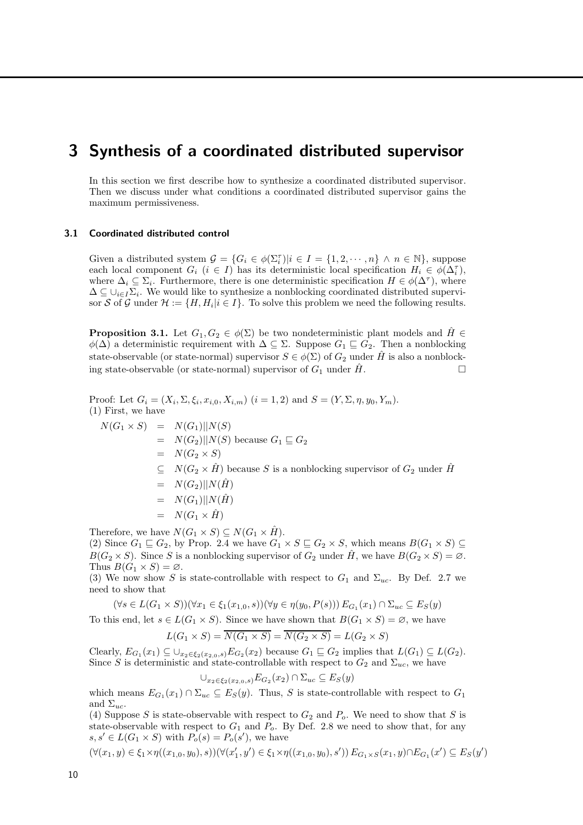### 3 Synthesis of a coordinated distributed supervisor

In this section we first describe how to synthesize a coordinated distributed supervisor. Then we discuss under what conditions a coordinated distributed supervisor gains the maximum permissiveness.

#### 3.1 Coordinated distributed control

Given a distributed system  $\mathcal{G} = \{G_i \in \phi(\Sigma_i^{\tau}) | i \in I = \{1, 2, \dots, n\} \land n \in \mathbb{N}\},\$ suppose each local component  $G_i$   $(i \in I)$  has its deterministic local specification  $H_i \in \phi(\Delta_i)$ , where  $\Delta_i \subseteq \Sigma_i$ . Furthermore, there is one deterministic specification  $H \in \phi(\Delta^{\tau})$ , where  $\Delta \subseteq \cup_{i \in I} \Sigma_i$ . We would like to synthesize a nonblocking coordinated distributed supervisor S of G under  $\mathcal{H} := \{H, H_i | i \in I\}$ . To solve this problem we need the following results.

**Proposition 3.1.** Let  $G_1, G_2 \in \phi(\Sigma)$  be two nondeterministic plant models and  $\hat{H} \in$  $\phi(\Delta)$  a deterministic requirement with  $\Delta \subseteq \Sigma$ . Suppose  $G_1 \sqsubseteq G_2$ . Then a nonblocking state-observable (or state-normal) supervisor  $S \in \phi(\Sigma)$  of  $G_2$  under  $\hat{H}$  is also a nonblocking state-observable (or state-normal) supervisor of  $G_1$  under  $\hat{H}$ .

Proof: Let  $G_i = (X_i, \Sigma, \xi_i, x_{i,0}, X_{i,m})$   $(i = 1, 2)$  and  $S = (Y, \Sigma, \eta, y_0, Y_m)$ . (1) First, we have  $N(G_1 \times S) = N(G_1)||N(S)$  $= N(G_2)||N(S)$  because  $G_1 \sqsubseteq G_2$  $= N(G_2 \times S)$  $\subseteq N(G_2 \times \hat{H})$  because S is a nonblocking supervisor of  $G_2$  under H  $= N(G_2)||N(\hat{H})$  $= N(G_1)||N(\hat{H})$  $= N(G_1 \times \hat{H})$ 

Therefore, we have  $N(G_1 \times S) \subseteq N(G_1 \times \hat{H})$ .

(2) Since  $G_1 \sqsubseteq G_2$ , by Prop. 2.4 we have  $G_1 \times S \sqsubseteq G_2 \times S$ , which means  $B(G_1 \times S) \subseteq$  $B(G_2 \times S)$ . Since S is a nonblocking supervisor of  $G_2$  under  $\hat{H}$ , we have  $B(G_2 \times S) = \emptyset$ . Thus  $B(G_1 \times S) = \emptyset$ .

(3) We now show S is state-controllable with respect to  $G_1$  and  $\Sigma_{uc}$ . By Def. 2.7 we need to show that

$$
(\forall s \in L(G_1 \times S))(\forall x_1 \in \xi_1(x_{1,0}, s))(\forall y \in \eta(y_0, P(s))) E_{G_1}(x_1) \cap \Sigma_{uc} \subseteq E_S(y)
$$

To this end, let  $s \in L(G_1 \times S)$ . Since we have shown that  $B(G_1 \times S) = \emptyset$ , we have

$$
L(G_1 \times S) = \overline{N(G_1 \times S)} = \overline{N(G_2 \times S)} = L(G_2 \times S)
$$

Clearly,  $E_{G_1}(x_1) \subseteq \bigcup_{x_2 \in \xi_2(x_2,0,s)} E_{G_2}(x_2)$  because  $G_1 \sqsubseteq G_2$  implies that  $L(G_1) \subseteq L(G_2)$ . Since S is deterministic and state-controllable with respect to  $G_2$  and  $\Sigma_{uc}$ , we have

$$
\cup_{x_2 \in \xi_2(x_2,0,s)} E_{G_2}(x_2) \cap \Sigma_{uc} \subseteq E_S(y)
$$

which means  $E_{G_1}(x_1) \cap \Sigma_{uc} \subseteq E_S(y)$ . Thus, S is state-controllable with respect to  $G_1$ and  $\Sigma_{uc}$ .

(4) Suppose S is state-observable with respect to  $G_2$  and  $P_o$ . We need to show that S is state-observable with respect to  $G_1$  and  $P_o$ . By Def. 2.8 we need to show that, for any  $s, s' \in L(G_1 \times S)$  with  $P_o(s) = P_o(s')$ , we have

$$
(\forall (x_1, y) \in \xi_1 \times \eta((x_{1,0}, y_0), s))(\forall (x_1', y') \in \xi_1 \times \eta((x_{1,0}, y_0), s')) \ E_{G_1 \times S}(x_1, y) \cap E_{G_1}(x') \subseteq E_S(y')
$$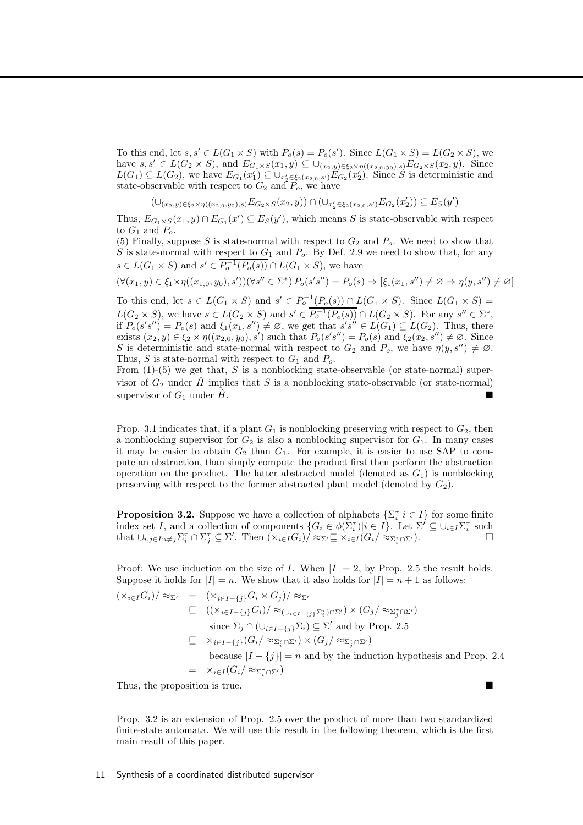To this end, let  $s, s' \in L(G_1 \times S)$  with  $P_o(s) = P_o(s')$ . Since  $L(G_1 \times S) = L(G_2 \times S)$ , we have  $s, s' \in L(G_2 \times S)$ , and  $E_{G_1 \times S}(x_1, y) \subseteq \bigcup_{(x_2, y) \in \xi_2 \times \eta((x_2, 0, y_0), s)} E_{G_2 \times S}(x_2, y)$ . Since  $L(G_1) \subseteq L(G_2)$ , we have  $E_{G_1}(x'_1) \subseteq \bigcup_{x'_2 \in \xi_2(x_{2,0},s')} E_{G_2}(x'_2)$ . Since S is deterministic and state-observable with respect to  $G_2$  and  $P_o$ , we have

 $(\cup_{(x_2,y) \in \xi_2 \times \eta((x_{2,0},y_0),s)} E_{G_2 \times S}(x_2,y)) \cap (\cup_{x_2' \in \xi_2(x_{2,0},s')} E_{G_2}(x_2')) \subseteq E_S(y')$ 

Thus,  $E_{G_1\times S}(x_1, y) \cap E_{G_1}(x') \subseteq E_S(y')$ , which means S is state-observable with respect to  $G_1$  and  $P_o$ .

(5) Finally, suppose S is state-normal with respect to  $G_2$  and  $P_o$ . We need to show that S is state-normal with respect to  $G_1$  and  $P_o$ . By Def. 2.9 we need to show that, for any  $s \in L(G_1 \times S)$  and  $s' \in P_o^{-1}(P_o(s)) \cap L(G_1 \times S)$ , we have

$$
(\forall (x_1, y) \in \xi_1 \times \eta((x_{1,0}, y_0), s'))(\forall s'' \in \Sigma^*) P_o(s's'') = P_o(s) \Rightarrow [\xi_1(x_1, s'') \neq \emptyset \Rightarrow \eta(y, s'') \neq \emptyset]
$$

To this end, let  $s \in L(G_1 \times S)$  and  $s' \in P_o^{-1}(P_o(s)) \cap L(G_1 \times S)$ . Since  $L(G_1 \times S)$  =  $L(G_2 \times S)$ , we have  $s \in L(G_2 \times S)$  and  $s' \in P_o^{-1}(P_o(s)) \cap L(G_2 \times S)$ . For any  $s'' \in \Sigma^*$ , if  $P_o(s's'') = P_o(s)$  and  $\xi_1(x_1, s'') \neq \emptyset$ , we get that  $s's'' \in L(G_1) \subseteq L(G_2)$ . Thus, there exists  $(x_2, y) \in \xi_2 \times \eta((x_{2,0}, y_0), s')$  such that  $P_o(s's'') = P_o(s)$  and  $\overline{\xi_2(x_2, s'')} \neq \emptyset$ . Since S is deterministic and state-normal with respect to  $G_2$  and  $P_o$ , we have  $\eta(y, s'') \neq \emptyset$ . Thus, S is state-normal with respect to  $G_1$  and  $P_o$ .

From  $(1)$ -(5) we get that, S is a nonblocking state-observable (or state-normal) supervisor of  $G_2$  under  $\hat{H}$  implies that S is a nonblocking state-observable (or state-normal) supervisor of  $G_1$  under  $H$ .

Prop. 3.1 indicates that, if a plant  $G_1$  is nonblocking preserving with respect to  $G_2$ , then a nonblocking supervisor for  $G_2$  is also a nonblocking supervisor for  $G_1$ . In many cases it may be easier to obtain  $G_2$  than  $G_1$ . For example, it is easier to use SAP to compute an abstraction, than simply compute the product first then perform the abstraction operation on the product. The latter abstracted model (denoted as  $G_1$ ) is nonblocking preserving with respect to the former abstracted plant model (denoted by  $G_2$ ).

**Proposition 3.2.** Suppose we have a collection of alphabets  $\{\sum_i^{\tau} | i \in I\}$  for some finite index set I, and a collection of components  $\{G_i \in \phi(\Sigma_i^{\tau}) | i \in I\}$ . Let  $\Sigma' \subseteq \cup_{i \in I} \Sigma_i^{\tau}$  such that  $\cup_{i,j\in I: i\neq j} \Sigma_i^{\tau} \cap \Sigma_j^{\tau} \subseteq \Sigma'$ . Then  $(\times_{i\in I} G_i) / \approx_{\Sigma'} \subseteq \times_{i\in I} (G_i / \approx_{\Sigma_i^{\tau} \cap \Sigma'})$ .

Proof: We use induction on the size of I. When  $|I| = 2$ , by Prop. 2.5 the result holds. Suppose it holds for  $|I| = n$ . We show that it also holds for  $|I| = n + 1$  as follows:

$$
(\times_{i \in I} G_i)/\approx_{\Sigma'} = (\times_{i \in I - \{j\}} G_i \times G_j)/\approx_{\Sigma'}
$$
  
\n
$$
\subseteq ((\times_{i \in I - \{j\}} G_i)/\approx_{(\cup_{i \in I - \{j\}} \Sigma_i^{\tau}) \cap \Sigma'}) \times (G_j/\approx_{\Sigma_j^{\tau} \cap \Sigma'})
$$
  
\nsince  $\Sigma_j \cap (\cup_{i \in I - \{j\}} \Sigma_i) \subseteq \Sigma'$  and by Prop. 2.5  
\n
$$
\subseteq \times_{i \in I - \{j\}} (G_i/\approx_{\Sigma_i^{\tau} \cap \Sigma'}) \times (G_j/\approx_{\Sigma_j^{\tau} \cap \Sigma'})
$$
  
\nbecause  $|I - \{j\}| = n$  and by the induction hypothesis and Prop. 2.4  
\n
$$
= \times_{i \in I} (G_i/\approx_{\Sigma_i^{\tau} \cap \Sigma'})
$$

Thus, the proposition is true.

Prop. 3.2 is an extension of Prop. 2.5 over the product of more than two standardized finite-state automata. We will use this result in the following theorem, which is the first main result of this paper.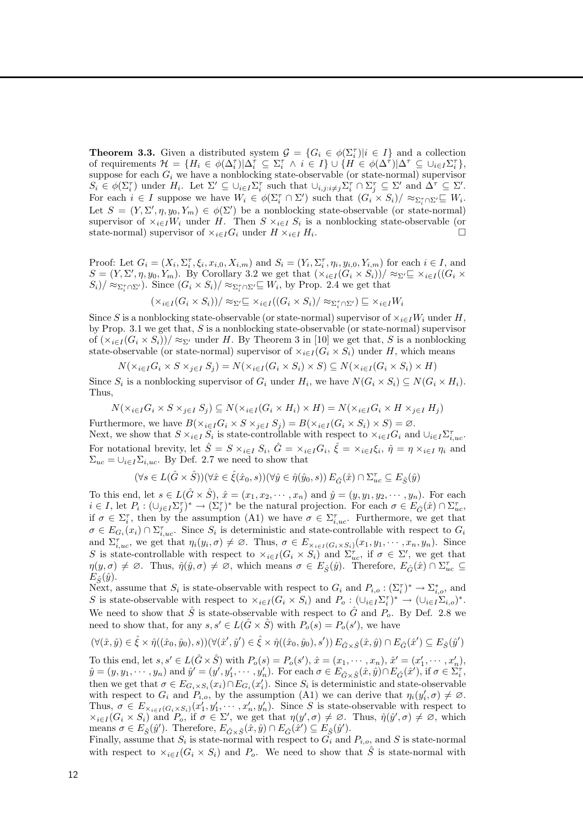**Theorem 3.3.** Given a distributed system  $\mathcal{G} = \{G_i \in \phi(\Sigma_i^{\tau}) | i \in I\}$  and a collection of requirements  $\mathcal{H} = \{H_i \in \phi(\Delta_i^{\tau}) | \Delta_i^{\tau} \subseteq \Sigma_i^{\tau} \land i \in I\} \cup \{H \in \phi(\Delta^{\tau}) | \Delta^{\tau} \subseteq \cup_{i \in I} \Sigma_i^{\tau}\},\$ suppose for each  $G_i$  we have a nonblocking state-observable (or state-normal) supervisor  $S_i \in \phi(\Sigma_i^{\tau})$  under  $H_i$ . Let  $\Sigma' \subseteq \cup_{i \in I} \Sigma_i^{\tau}$  such that  $\cup_{i,j:i \neq j} \Sigma_i^{\tau} \cap \Sigma_j^{\tau} \subseteq \Sigma'$  and  $\Delta^{\tau} \subseteq \Sigma'$ . For each  $i \in I$  suppose we have  $W_i \in \phi(\Sigma_i^{\tau} \cap \Sigma')$  such that  $(G_i \times S_i)/ \approx_{\Sigma_i^{\tau} \cap \Sigma'} \sqsubseteq W_i$ . Let  $S = (Y, \Sigma', \eta, y_0, Y_m) \in \phi(\Sigma')$  be a nonblocking state-observable (or state-normal) supervisor of  $\times_{i\in I}W_i$  under H. Then  $S\times_{i\in I}S_i$  is a nonblocking state-observable (or state-normal) supervisor of  $\times_{i\in I}G_i$  under  $H\times_{i\in I}H_i$ . .

Proof: Let  $G_i = (X_i, \Sigma_i^{\tau}, \xi_i, x_{i,0}, X_{i,m})$  and  $S_i = (Y_i, \Sigma_i^{\tau}, \eta_i, y_{i,0}, Y_{i,m})$  for each  $i \in I$ , and  $S = (Y, \Sigma', \eta, y_0, Y_m)$ . By Corollary 3.2 we get that  $(\times_{i \in I} (G_i \times S_i)) / \approx_{\Sigma'} \subseteq \times_{i \in I} ((G_i \times S_i))$  $S_i$  /  $\approx_{\Sigma_i^{\tau} \cap \Sigma'}$ ). Since  $(G_i \times S_i) / \approx_{\Sigma_i^{\tau} \cap \Sigma'} \sqsubseteq W_i$ , by Prop. 2.4 we get that

$$
(\times_{i \in I} (G_i \times S_i))/\approx_{\Sigma'} \subseteq \times_{i \in I} ((G_i \times S_i)/\approx_{\Sigma_i^{\tau} \cap \Sigma'}) \subseteq \times_{i \in I} W_i
$$

Since S is a nonblocking state-observable (or state-normal) supervisor of  $\times_{i\in I}W_i$  under H, by Prop. 3.1 we get that,  $S$  is a nonblocking state-observable (or state-normal) supervisor of  $(\times_{i\in I}(G_i\times S_i))/\approx_{\Sigma'}$  under H. By Theorem 3 in [10] we get that, S is a nonblocking state-observable (or state-normal) supervisor of  $\times_{i\in I} (G_i \times S_i)$  under H, which means

$$
N(\times_{i \in I} G_i \times S \times_{j \in I} S_j) = N(\times_{i \in I} (G_i \times S_i) \times S) \subseteq N(\times_{i \in I} (G_i \times S_i) \times H)
$$

Since  $S_i$  is a nonblocking supervisor of  $G_i$  under  $H_i$ , we have  $N(G_i \times S_i) \subseteq N(G_i \times H_i)$ . Thus,

$$
N(\times_{i \in I} G_i \times S \times_{j \in I} S_j) \subseteq N(\times_{i \in I} (G_i \times H_i) \times H) = N(\times_{i \in I} G_i \times H \times_{j \in I} H_j)
$$

Furthermore, we have  $B(\times_{i\in I}G_i\times S\times_{j\in I}S_j)=B(\times_{i\in I}(G_i\times S_i)\times S)=\emptyset$ . Next, we show that  $S \times_{i \in I} S_i$  is state-controllable with respect to  $\times_{i \in I} G_i$  and  $\cup_{i \in I} \Sigma_{i,uc}^{\tau}$ . For notational brevity, let  $\hat{S} = S \times_{i \in I} S_i$ ,  $\hat{G} = \times_{i \in I} G_i$ ,  $\hat{\xi} = \times_{i \in I} \xi_i$ ,  $\hat{\eta} = \eta \times_{i \in I} \eta_i$  and  $\Sigma_{uc} = \bigcup_{i \in I} \Sigma_{i,uc}$ . By Def. 2.7 we need to show that

$$
(\forall s\in L(\hat{G}\times \hat{S}))(\forall \hat{x}\in \hat{\xi}(\hat{x}_0,s))(\forall \hat{y}\in \hat{\eta}(\hat{y}_0,s))\,E_{\hat{G}}(\hat{x})\cap \Sigma_{uc}^{\tau}\subseteq E_{\hat{S}}(\hat{y})
$$

To this end, let  $s \in L(\hat{G} \times \hat{S}), \hat{x} = (x_1, x_2, \dots, x_n)$  and  $\hat{y} = (y, y_1, y_2, \dots, y_n)$ . For each  $i \in I$ , let  $P_i: (\cup_{j \in I} \Sigma_j^{\tau})^* \to (\Sigma_i^{\tau})^*$  be the natural projection. For each  $\sigma \in E_G(\hat{x}) \cap \Sigma_{uc}^{\tau}$ , if  $\sigma \in \Sigma_i^{\tau}$ , then by the assumption (A1) we have  $\sigma \in \Sigma_{i,uc}^{\tau}$ . Furthermore, we get that  $\sigma \in E_{G_i}(x_i) \cap \Sigma_{i,uc}^{\tau}$ . Since  $S_i$  is deterministic and state-controllable with respect to  $G_i$ and  $\Sigma_{i,uc}^{\tau}$ , we get that  $\eta_i(y_i, \sigma) \neq \emptyset$ . Thus,  $\sigma \in E_{\times_{i \in I} (G_i \times S_i)}(x_1, y_1, \cdots, x_n, y_n)$ . Since S is state-controllable with respect to  $\times_{i\in I} (G_i \times S_i)$  and  $\Sigma_{uc}^{\tau}$ , if  $\sigma \in \Sigma'$ , we get that  $\eta(y,\sigma) \neq \emptyset$ . Thus,  $\hat{\eta}(\hat{y},\sigma) \neq \emptyset$ , which means  $\sigma \in E_{\hat{S}}(\hat{y})$ . Therefore,  $E_{\hat{G}}(\hat{x}) \cap \Sigma_{uc}^{\tau} \subseteq$  $E_{\hat{\mathbf{c}}}(\hat{y})$ .

Next, assume that  $S_i$  is state-observable with respect to  $G_i$  and  $P_{i,o}: (\Sigma_i^{\tau})^* \to \Sigma_{i,o}^*$ , and S is state-observable with respect to  $\times_{i\in I}(G_i\times S_i)$  and  $P_o: (\cup_{i\in I}\Sigma_i^{\tau})^* \to (\cup_{i\in I}\Sigma_{i,o})^*$ . We need to show that  $\hat{S}$  is state-observable with respect to  $\hat{G}$  and  $P_o$ . By Def. 2.8 we need to show that, for any  $s, s' \in L(\hat{G} \times \hat{S})$  with  $P_o(s) = P_o(s')$ , we have

$$
(\forall (\hat{x},\hat{y})\in\hat{\xi}\times\hat{\eta}((\hat{x}_0,\hat{y}_0),s))(\forall (\hat{x}',\hat{y}')\in\hat{\xi}\times\hat{\eta}((\hat{x}_0,\hat{y}_0),s'))\,E_{\hat{G}\times\hat{S}}(\hat{x},\hat{y})\cap E_{\hat{G}}(\hat{x}')\subseteq E_{\hat{S}}(\hat{y}')
$$

To this end, let  $s, s' \in L(\hat{G} \times \hat{S})$  with  $P_o(s) = P_o(s')$ ,  $\hat{x} = (x_1, \dots, x_n)$ ,  $\hat{x}' = (x'_1, \dots, x'_n)$ ,  $\hat{y} = (y, y_1, \dots, y_n)$  and  $\hat{y}' = (y', y'_1, \dots, y'_n)$ . For each  $\sigma \in E_{\hat{G} \times \hat{S}}(\hat{x}, \hat{y}) \cap E_{\hat{G}}(\hat{x}'),$  if  $\sigma \in \Sigma_i^{\tau}$ , then we get that  $\sigma \in E_{G_i \times S_i}(x_i) \cap E_{G_i}(x'_i)$ . Since  $S_i$  is deterministic and state-observable with respect to  $G_i$  and  $P_{i,o}$ , by the assumption (A1) we can derive that  $\eta_i(y'_i, \sigma) \neq \emptyset$ . which respect to  $G_i$  and  $T_{i,0}$ , by the assumption  $(A_1)$  we can derive that  $\eta_i(g_i, o) \neq \emptyset$ .<br>Thus,  $\sigma \in E_{\times_{i \in I}(G_i \times S_i)}(x'_1, y'_1, \dots, x'_n, y'_n)$ . Since S is state-observable with respect to  $\times_{i\in I}(G_i\times S_i)$  and  $P_o$ , if  $\sigma\in \Sigma'$ , we get that  $\eta(y',\sigma)\neq\emptyset$ . Thus,  $\hat{\eta}(\hat{y}',\sigma)\neq\emptyset$ , which means  $\sigma \in E_{\hat{S}}(\hat{y}')$ . Therefore,  $E_{\hat{G} \times \hat{S}}(\hat{x}, \hat{y}) \cap E_{\hat{G}}(\hat{x}') \subseteq E_{\hat{S}}(\hat{y}')$ .

Finally, assume that  $S_i$  is state-normal with respect to  $G_i$  and  $P_{i,o}$ , and S is state-normal with respect to  $\times_{i\in I} (G_i \times S_i)$  and  $P_o$ . We need to show that  $\hat{S}$  is state-normal with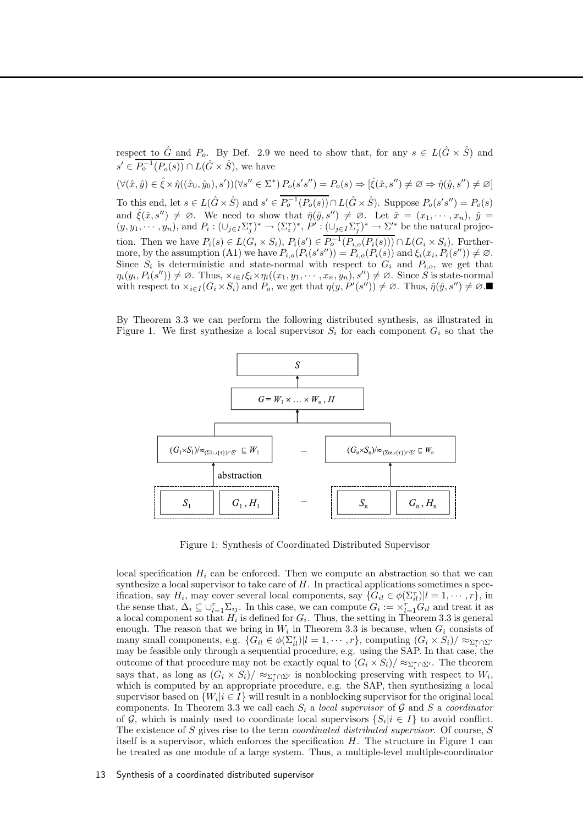respect to  $\hat{G}$  and  $P_o$ . By Def. 2.9 we need to show that, for any  $s \in L(\hat{G} \times \hat{S})$  and  $s' \in \overline{P_o^{-1}(P_o(s))} \cap L(\hat{G} \times \hat{S}),$  we have  $(\forall (\hat{x}, \hat{y}) \in \hat{\xi} \times \hat{\eta}((\hat{x}_0, \hat{y}_0), s'))(\forall s'' \in \Sigma^*) P_o(s's'') = P_o(s) \Rightarrow [\hat{\xi}(\hat{x}, s'') \neq \emptyset \Rightarrow \hat{\eta}(\hat{y}, s'') \neq \emptyset]$ To this end, let  $s \in L(\hat{G} \times \hat{S})$  and  $s' \in \overline{P_o^{-1}(P_o(s))} \cap L(\hat{G} \times \hat{S})$ . Suppose  $P_o(s's'') = P_o(s)$ and  $\hat{\xi}(\hat{x}, s'') \neq \emptyset$ . We need to show that  $\hat{\eta}(\hat{y}, s'') \neq \emptyset$ . Let  $\hat{x} = (x_1, \dots, x_n)$ ,  $\hat{y} =$  $(y, y_1, \dots, y_n)$ , and  $P_i: (\cup_{j\in I} \Sigma_j^{\tau})^* \to (\Sigma_i^{\tau})^*, P' : (\cup_{j\in I} \Sigma_j^{\tau})^* \to \Sigma'^*$  be the natural projection. Then we have  $P_i(s) \in L(G_i \times S_i)$ ,  $P_i(s') \in P_o^{-1}(P_{i,o}(P_i(s))) \cap L(G_i \times S_i)$ . Furthermore, by the assumption  $(A1)$  we have  $P_{i,o}(P_i(s's'')) = P_{i,o}(P_i(s))$  and  $\xi_i(x_i, P_i(s'')) \neq \emptyset$ . Since  $S_i$  is deterministic and state-normal with respect to  $G_i$  and  $P_{i,o}$ , we get that  $\eta_i(y_i, P_i(s'')) \neq \emptyset$ . Thus,  $\times_{i \in I} \xi_i \times \eta_i((x_1, y_1, \dots, x_n, y_n), s'') \neq \emptyset$ . Since S is state-normal with respect to  $\times_{i\in I}(G_i\times S_i)$  and  $P_o$ , we get that  $\eta(y, P'(s'')) \neq \emptyset$ . Thus,  $\hat{\eta}(\hat{y}, s'') \neq \emptyset$ .

By Theorem 3.3 we can perform the following distributed synthesis, as illustrated in Figure 1. We first synthesize a local supervisor  $S_i$  for each component  $G_i$  so that the



Figure 1: Synthesis of Coordinated Distributed Supervisor

local specification  $H_i$  can be enforced. Then we compute an abstraction so that we can synthesize a local supervisor to take care of  $H$ . In practical applications sometimes a specification, say  $H_i$ , may cover several local components, say  $\{G_{il} \in \phi(\Sigma_{il}^{\tau}) | l = 1, \cdots, r\}$ , in the sense that,  $\Delta_i \subseteq \bigcup_{l=1}^r \Sigma_{ij}$ . In this case, we can compute  $G_i := \times_{l=1}^r G_{il}$  and treat it as a local component so that  $H_i$  is defined for  $G_i$ . Thus, the setting in Theorem 3.3 is general enough. The reason that we bring in  $W_i$  in Theorem 3.3 is because, when  $G_i$  consists of many small components, e.g.  $\{G_{il} \in \phi(\Sigma_{il}^{\tau}) | l = 1, \cdots, r\}$ , computing  $(G_i \times S_i) / \approx_{\Sigma_i^{\tau} \cap \Sigma'}$ may be feasible only through a sequential procedure, e.g. using the SAP. In that case, the outcome of that procedure may not be exactly equal to  $(G_i \times S_i)/\approx_{\Sigma_i^{\tau} \cap \Sigma'}$ . The theorem says that, as long as  $(G_i \times S_i)/\approx_{\Sigma_i^{\tau} \cap \Sigma'}$  is nonblocking preserving with respect to  $W_i$ , which is computed by an appropriate procedure, e.g. the SAP, then synthesizing a local supervisor based on  $\{W_i | i \in I\}$  will result in a nonblocking supervisor for the original local components. In Theorem 3.3 we call each  $S_i$  a local supervisor of G and S a coordinator of G, which is mainly used to coordinate local supervisors  $\{S_i | i \in I\}$  to avoid conflict. The existence of S gives rise to the term *coordinated distributed supervisor*. Of course, S itself is a supervisor, which enforces the specification  $H$ . The structure in Figure 1 can be treated as one module of a large system. Thus, a multiple-level multiple-coordinator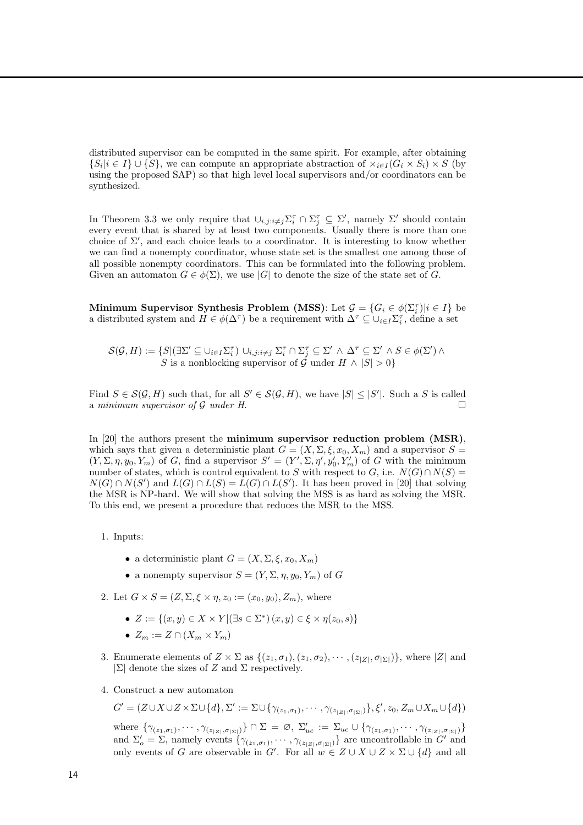distributed supervisor can be computed in the same spirit. For example, after obtaining  $\{S_i | i \in I\} \cup \{S\}$ , we can compute an appropriate abstraction of  $\times_{i \in I} (G_i \times S_i) \times S$  (by using the proposed SAP) so that high level local supervisors and/or coordinators can be synthesized.

In Theorem 3.3 we only require that  $\cup_{i,j:i\neq j}\Sigma_i^{\tau}\cap \Sigma_j^{\tau} \subseteq \Sigma'$ , namely  $\Sigma'$  should contain every event that is shared by at least two components. Usually there is more than one choice of  $\Sigma'$ , and each choice leads to a coordinator. It is interesting to know whether we can find a nonempty coordinator, whose state set is the smallest one among those of all possible nonempty coordinators. This can be formulated into the following problem. Given an automaton  $G \in \phi(\Sigma)$ , we use |G| to denote the size of the state set of G.

Minimum Supervisor Synthesis Problem (MSS): Let  $\mathcal{G} = \{G_i \in \phi(\Sigma_i^{\tau}) | i \in I\}$  be a distributed system and  $H \in \phi(\Delta^{\tau})$  be a requirement with  $\Delta^{\tau} \subseteq \cup_{i \in I} \Sigma_i^{\tau}$ , define a set

$$
\mathcal{S}(\mathcal{G}, H) := \{ S | (\exists \Sigma' \subseteq \cup_{i \in I} \Sigma_i^{\tau}) \cup_{i, j : i \neq j} \Sigma_i^{\tau} \cap \Sigma_j^{\tau} \subseteq \Sigma' \land \Delta^{\tau} \subseteq \Sigma' \land S \in \phi(\Sigma') \land S \text{ is a nonblocking supervisor of } \mathcal{G} \text{ under } H \land |S| > 0 \}
$$

Find  $S \in \mathcal{S}(\mathcal{G}, H)$  such that, for all  $S' \in \mathcal{S}(\mathcal{G}, H)$ , we have  $|S| \leq |S'|$ . Such a S is called a minimum supervisor of  $\mathcal G$  under  $H$ .

In [20] the authors present the minimum supervisor reduction problem (MSR), which says that given a deterministic plant  $G = (X, \Sigma, \xi, x_0, X_m)$  and a supervisor  $S =$  $(Y, \Sigma, \eta, y_0, Y_m)$  of G, find a supervisor  $S' = (Y', \Sigma, \eta', y'_0, Y'_m)$  of G with the minimum number of states, which is control equivalent to S with respect to G, i.e.  $N(G) \cap N(S) =$  $N(G) \cap N(S')$  and  $L(G) \cap L(S) = L(G) \cap L(S')$ . It has been proved in [20] that solving the MSR is NP-hard. We will show that solving the MSS is as hard as solving the MSR. To this end, we present a procedure that reduces the MSR to the MSS.

- 1. Inputs:
	- a deterministic plant  $G = (X, \Sigma, \xi, x_0, X_m)$
	- a nonempty supervisor  $S = (Y, \Sigma, \eta, y_0, Y_m)$  of G
- 2. Let  $G \times S = (Z, \Sigma, \xi \times \eta, z_0) = (x_0, y_0), Z_m$ , where
	- $Z := \{(x, y) \in X \times Y | (\exists s \in \Sigma^*) (x, y) \in \xi \times \eta(z_0, s) \}$
	- $Z_m := Z \cap (X_m \times Y_m)$
- 3. Enumerate elements of  $Z \times \Sigma$  as  $\{(z_1, \sigma_1), (z_1, \sigma_2), \cdots, (z_{|Z|}, \sigma_{|\Sigma|})\}$ , where  $|Z|$  and  $|\Sigma|$  denote the sizes of Z and  $\Sigma$  respectively.
- 4. Construct a new automaton

$$
G' = (Z \cup X \cup Z \times \Sigma \cup \{d\}, \Sigma' := \Sigma \cup \{\gamma_{(z_1, \sigma_1)}, \cdots, \gamma_{(z_{|Z|}, \sigma_{|Z|})}\}, \xi', z_0, Z_m \cup X_m \cup \{d\})
$$

where  $\{\gamma_{(z_1,\sigma_1)},\cdots,\gamma_{(z_{|Z|},\sigma_{|\Sigma|})}\}\cap\Sigma = \emptyset$ ,  $\Sigma'_{uc} := \Sigma_{uc}\cup\{\gamma_{(z_1,\sigma_1)},\cdots,\gamma_{(z_{|Z|},\sigma_{|\Sigma|})}\}\$ and  $\Sigma'_{o} = \Sigma$ , namely events  $\{\gamma_{(z_1,\sigma_1)}, \cdots, \gamma_{(z_{|Z|},\sigma_{|Z|})}\}\$  are uncontrollable in  $G'$  and only events of G are observable in G'. For all  $w \in Z \cup X \cup Z \times \Sigma \cup \{d\}$  and all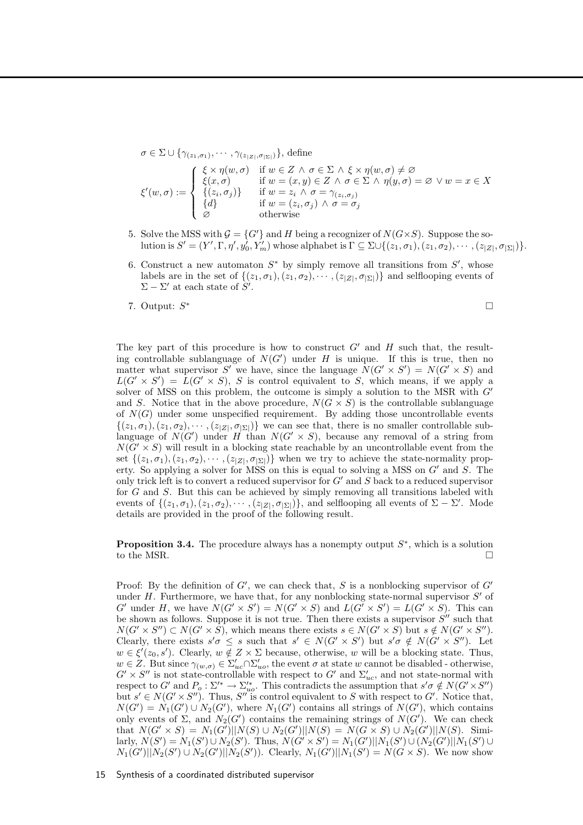$\sigma \in \Sigma \cup \{\gamma_{(z_1,\sigma_1)}, \cdots, \gamma_{(z_{|Z|},\sigma_{|\Sigma|})}\},\$ define  $\xi'(w,\sigma) :=$  $\sqrt{ }$  $\int$  $\overline{a}$  $\xi \times \eta(w, \sigma)$  if  $w \in Z \land \sigma \in \Sigma \land \xi \times \eta(w, \sigma) \neq \varnothing$  $\xi(x, \sigma)$  if  $w = (x, y) \in Z \land \sigma \in \Sigma \land \eta(y, \sigma) = \varnothing \lor w = x \in X$  $\{(z_i, \sigma_j)\}\$ if  $w = z_i \wedge \sigma = \gamma_{(z_i, \sigma_j)}$ {d} if  $w = (z_i, \sigma_j) \wedge \sigma = \sigma_j$ ∅ otherwise

- 5. Solve the MSS with  $\mathcal{G} = \{G'\}$  and H being a recognizer of  $N(G \times S)$ . Suppose the solution is  $S' = (Y', \Gamma, \eta', y_0', Y_m')$  whose alphabet is  $\Gamma \subseteq \Sigma \cup \{(z_1, \sigma_1), (z_1, \sigma_2), \cdots, (z_{|Z|}, \sigma_{|\Sigma|})\}.$
- 6. Construct a new automaton  $S^*$  by simply remove all transitions from  $S'$ , whose labels are in the set of  $\{(z_1,\sigma_1),(z_1,\sigma_2),\cdots,(z_{|Z|},\sigma_{|\Sigma|})\}$  and selflooping events of  $\Sigma - \Sigma'$  at each state of  $S'$ .
- 7. Output:  $S^*$ ∗

The key part of this procedure is how to construct  $G'$  and  $H$  such that, the resulting controllable sublanguage of  $N(G')$  under H is unique. If this is true, then no matter what supervisor S' we have, since the language  $N(G' \times S') = N(G' \times S)$  and  $L(G' \times S') = L(G' \times S)$ , S is control equivalent to S, which means, if we apply a solver of MSS on this problem, the outcome is simply a solution to the MSR with  $G'$ and S. Notice that in the above procedure,  $N(G \times S)$  is the controllable sublanguage of  $N(G)$  under some unspecified requirement. By adding those uncontrollable events  $\{(z_1,\sigma_1), (z_1,\sigma_2), \cdots, (z_{|Z|},\sigma_{|\Sigma|})\}\$ we can see that, there is no smaller controllable sublanguage of  $N(G')$  under H than  $N(G' \times S)$ , because any removal of a string from  $N(G' \times S)$  will result in a blocking state reachable by an uncontrollable event from the set  $\{(z_1,\sigma_1), (z_1,\sigma_2), \cdots, (z_{|Z|}, \sigma_{|\Sigma|})\}$  when we try to achieve the state-normality property. So applying a solver for MSS on this is equal to solving a MSS on  $G'$  and  $S$ . The only trick left is to convert a reduced supervisor for  $G'$  and  $S$  back to a reduced supervisor for G and S. But this can be achieved by simply removing all transitions labeled with events of  $\{(z_1,\sigma_1), (z_1,\sigma_2), \cdots, (z_{|Z|}, \sigma_{|\Sigma|})\}$ , and selflooping all events of  $\Sigma - \Sigma'$ . Mode details are provided in the proof of the following result.

**Proposition 3.4.** The procedure always has a nonempty output  $S^*$ , which is a solution to the MSR.

Proof: By the definition of  $G'$ , we can check that, S is a nonblocking supervisor of  $G'$ under  $H$ . Furthermore, we have that, for any nonblocking state-normal supervisor  $S'$  of G' under H, we have  $N(G' \times S') = N(G' \times S)$  and  $L(G' \times S') = L(G' \times S)$ . This can be shown as follows. Suppose it is not true. Then there exists a supervisor  $S''$  such that  $N(G' \times S'') \subset N(G' \times S)$ , which means there exists  $s \in N(G' \times S)$  but  $s \notin N(G' \times S'')$ . Clearly, there exists  $s'\sigma \leq s$  such that  $s' \in N(G' \times S')$  but  $s'\sigma \notin N(G' \times S'')$ . Let  $w \in \xi'(z_0, s')$ . Clearly,  $w \notin Z \times \Sigma$  because, otherwise, w will be a blocking state. Thus,  $w \in Z$ . But since  $\gamma_{(w,\sigma)} \in \Sigma'_{uc} \cap \Sigma'_{uo}$ , the event  $\sigma$  at state w cannot be disabled - otherwise,  $G' \times S''$  is not state-controllable with respect to  $G'$  and  $\Sigma'_{uc}$ , and not state-normal with respect to G' and  $P_o: \Sigma'^* \to \Sigma'^*_{uo}$ . This contradicts the assumption that  $s'\sigma \notin N(G' \times S'')$ but  $s' \in N(G' \times S'')$ . Thus, S'' is control equivalent to S with respect to G'. Notice that,  $N(G') = N_1(G') \cup N_2(G')$ , where  $N_1(G')$  contains all strings of  $N(G')$ , which contains only events of  $\Sigma$ , and  $N_2(G')$  contains the remaining strings of  $N(G')$ . We can check that  $N(G' \times S) = N_1(G')||N(S) \cup N_2(G')||N(S) = N(G \times S) \cup N_2(G')||N(S)$ . Similarly,  $N(S') = N_1(S') \cup N_2(S')$ . Thus,  $N(G' \times S') = N_1(G')||N_1(S') \cup (N_2(G')||N_1(S') \cup N_2(S')$  $N_1(G')||N_2(S') \cup N_2(G')||N_2(S')$ . Clearly,  $N_1(G')||N_1(S') = N(G \times S)$ . We now show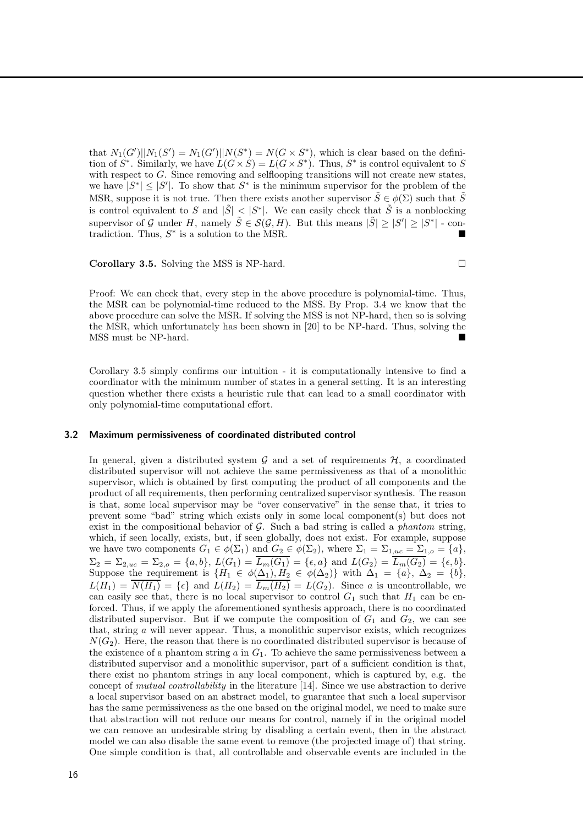that  $N_1(G')||N_1(S') = N_1(G')||N(S^*) = N(G \times S^*)$ , which is clear based on the definition of  $S^*$ . Similarly, we have  $L(G \times S) = L(G \times S^*)$ . Thus,  $S^*$  is control equivalent to S with respect to G. Since removing and selflooping transitions will not create new states, we have  $|S^*| \leq |S'|$ . To show that  $S^*$  is the minimum supervisor for the problem of the MSR, suppose it is not true. Then there exists another supervisor  $\tilde{S} \in \phi(\Sigma)$  such that  $\tilde{S}$ is control equivalent to S and  $|\tilde{S}| < |S^*|$ . We can easily check that  $\tilde{S}$  is a nonblocking supervisor of G under H, namely  $\tilde{S} \in \mathcal{S}(\mathcal{G}, H)$ . But this means  $|\tilde{S}| \geq |S'| \geq |S^*|$  - contradiction. Thus,  $S^*$  is a solution to the MSR.

Corollary 3.5. Solving the MSS is NP-hard.

Proof: We can check that, every step in the above procedure is polynomial-time. Thus, the MSR can be polynomial-time reduced to the MSS. By Prop. 3.4 we know that the above procedure can solve the MSR. If solving the MSS is not NP-hard, then so is solving the MSR, which unfortunately has been shown in [20] to be NP-hard. Thus, solving the MSS must be NP-hard.

Corollary 3.5 simply confirms our intuition - it is computationally intensive to find a coordinator with the minimum number of states in a general setting. It is an interesting question whether there exists a heuristic rule that can lead to a small coordinator with only polynomial-time computational effort.

#### 3.2 Maximum permissiveness of coordinated distributed control

In general, given a distributed system  $\mathcal G$  and a set of requirements  $\mathcal H$ , a coordinated distributed supervisor will not achieve the same permissiveness as that of a monolithic supervisor, which is obtained by first computing the product of all components and the product of all requirements, then performing centralized supervisor synthesis. The reason is that, some local supervisor may be "over conservative" in the sense that, it tries to prevent some "bad" string which exists only in some local component(s) but does not exist in the compositional behavior of  $G$ . Such a bad string is called a *phantom* string, which, if seen locally, exists, but, if seen globally, does not exist. For example, suppose we have two components  $G_1 \in \phi(\Sigma_1)$  and  $G_2 \in \phi(\Sigma_2)$ , where  $\Sigma_1 = \Sigma_{1,uc} = \Sigma_{1,oc} = \{a\}$ ,  $\Sigma_2 = \Sigma_{2,uc} = \Sigma_{2,o} = \{a, b\}, L(G_1) = L_m(G_1) = \{\epsilon, a\}$  and  $L(G_2) = L_m(G_2) = \{\epsilon, b\}.$ Suppose the requirement is  $\{H_1 \in \phi(\Delta_1), H_2 \in \phi(\Delta_2)\}\$  with  $\Delta_1 = \{a\}, \Delta_2 = \{b\},\$  $L(H_1) = \overline{N(H_1)} = {\epsilon}$  and  $L(H_2) = \overline{L_m(H_2)} = L(G_2)$ . Since a is uncontrollable, we can easily see that, there is no local supervisor to control  $G_1$  such that  $H_1$  can be enforced. Thus, if we apply the aforementioned synthesis approach, there is no coordinated distributed supervisor. But if we compute the composition of  $G_1$  and  $G_2$ , we can see that, string  $\alpha$  will never appear. Thus, a monolithic supervisor exists, which recognizes  $N(G_2)$ . Here, the reason that there is no coordinated distributed supervisor is because of the existence of a phantom string  $a$  in  $G_1$ . To achieve the same permissiveness between a distributed supervisor and a monolithic supervisor, part of a sufficient condition is that, there exist no phantom strings in any local component, which is captured by, e.g. the concept of mutual controllability in the literature [14]. Since we use abstraction to derive a local supervisor based on an abstract model, to guarantee that such a local supervisor has the same permissiveness as the one based on the original model, we need to make sure that abstraction will not reduce our means for control, namely if in the original model we can remove an undesirable string by disabling a certain event, then in the abstract model we can also disable the same event to remove (the projected image of) that string. One simple condition is that, all controllable and observable events are included in the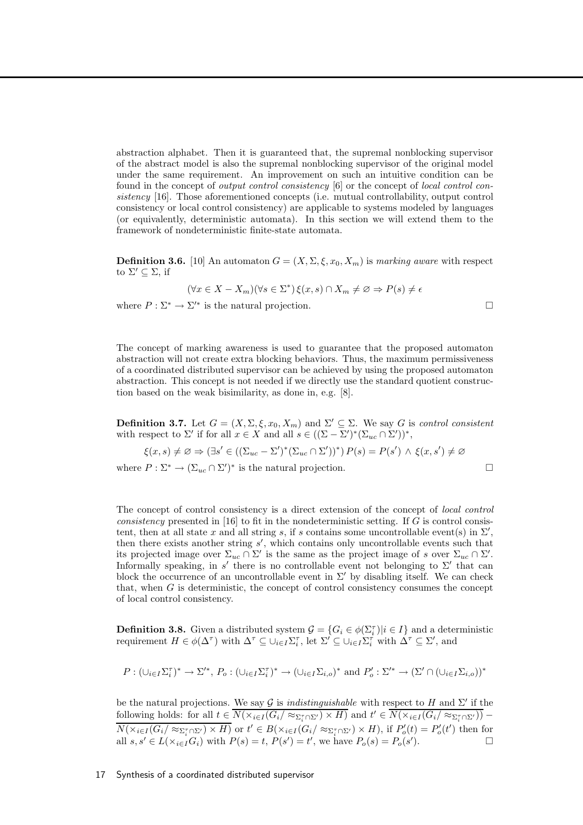abstraction alphabet. Then it is guaranteed that, the supremal nonblocking supervisor of the abstract model is also the supremal nonblocking supervisor of the original model under the same requirement. An improvement on such an intuitive condition can be found in the concept of output control consistency [6] or the concept of local control consistency [16]. Those aforementioned concepts (i.e. mutual controllability, output control consistency or local control consistency) are applicable to systems modeled by languages (or equivalently, deterministic automata). In this section we will extend them to the framework of nondeterministic finite-state automata.

**Definition 3.6.** [10] An automaton  $G = (X, \Sigma, \xi, x_0, X_m)$  is marking aware with respect to  $\Sigma' \subseteq \Sigma$ , if

$$
(\forall x \in X - X_m)(\forall s \in \Sigma^*) \xi(x, s) \cap X_m \neq \varnothing \Rightarrow P(s) \neq \epsilon
$$

where  $P : \Sigma^* \to \Sigma'^*$  is the natural projection.

The concept of marking awareness is used to guarantee that the proposed automaton abstraction will not create extra blocking behaviors. Thus, the maximum permissiveness of a coordinated distributed supervisor can be achieved by using the proposed automaton abstraction. This concept is not needed if we directly use the standard quotient construction based on the weak bisimilarity, as done in, e.g. [8].

**Definition 3.7.** Let  $G = (X, \Sigma, \xi, x_0, X_m)$  and  $\Sigma' \subseteq \Sigma$ . We say G is control consistent with respect to  $\Sigma'$  if for all  $x \in X$  and all  $s \in ((\Sigma - \Sigma')^*(\Sigma_{uc} \cap \Sigma'))^*$ ,

$$
\xi(x,s) \neq \emptyset \Rightarrow (\exists s' \in ((\Sigma_{uc} - \Sigma')^*(\Sigma_{uc} \cap \Sigma'))^*) P(s) = P(s') \land \xi(x,s') \neq \emptyset
$$

where  $P : \Sigma^* \to (\Sigma_{uc} \cap \Sigma')^*$  is the natural projection.

The concept of control consistency is a direct extension of the concept of local control consistency presented in [16] to fit in the nondeterministic setting. If G is control consistent, then at all state x and all string s, if s contains some uncontrollable event(s) in  $\Sigma'$ , then there exists another string  $s'$ , which contains only uncontrollable events such that its projected image over  $\Sigma_{uc} \cap \Sigma'$  is the same as the project image of s over  $\Sigma_{uc} \cap \Sigma'$ . Informally speaking, in  $s'$  there is no controllable event not belonging to  $\Sigma'$  that can block the occurrence of an uncontrollable event in  $\Sigma'$  by disabling itself. We can check that, when G is deterministic, the concept of control consistency consumes the concept of local control consistency.

**Definition 3.8.** Given a distributed system  $\mathcal{G} = \{G_i \in \phi(\Sigma_i^{\tau}) | i \in I\}$  and a deterministic requirement  $H \in \phi(\Delta^{\tau})$  with  $\Delta^{\tau} \subseteq \cup_{i \in I} \Sigma_i^{\tau}$ , let  $\Sigma' \subseteq \cup_{i \in I} \Sigma_i^{\tau}$  with  $\Delta^{\tau} \subseteq \Sigma'$ , and

$$
P: (\cup_{i \in I} \Sigma_i^{\tau})^* \to \Sigma'^*, P_o: (\cup_{i \in I} \Sigma_i^{\tau})^* \to (\cup_{i \in I} \Sigma_{i,o})^* \text{ and } P'_o: \Sigma'^* \to (\Sigma' \cap (\cup_{i \in I} \Sigma_{i,o}))^*
$$

be the natural projections. We say G is *indistinguishable* with respect to H and  $\Sigma'$  if the following holds: for all  $t \in \overline{N(\times_{i \in I}(G_i/\approx_{\Sigma_i^{\tau} \cap \Sigma')}\times H)}$  and  $t' \in \overline{N(\times_{i \in I}(G_i/\approx_{\Sigma_i^{\tau} \cap \Sigma')})}$  –  $N(\times_{i\in I}(G_i/\approx_{\Sigma_i^{\tau}\cap\Sigma'})\times H)$  or  $t'\in B(\times_{i\in I}(G_i/\approx_{\Sigma_i^{\tau}\cap\Sigma'})\times H)$ , if  $P'_o(t)=P'_o(t')$  then for all  $s, s' \in L(\times_{i \in I} G_i)$  with  $P(s) = t$ ,  $P(s') = t'$ , we have  $P_o(s) = P_o(s')$  $\Box$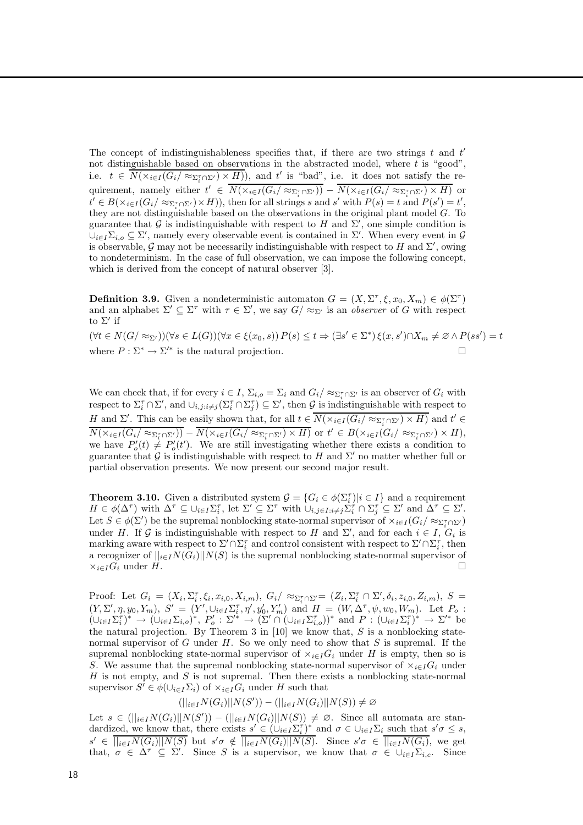The concept of indistinguishableness specifies that, if there are two strings  $t$  and  $t'$ not distinguishable based on observations in the abstracted model, where t is "good", i.e.  $t \in N(\times_{i \in I} (G_i/\approx_{\Sigma_i^r \cap \Sigma'}) \times H)$ , and t' is "bad", i.e. it does not satisfy the requirement, namely either  $t' \in \overline{N(\times_{i\in I}(G_i/\approx_{\Sigma_i^{\tau}\cap\Sigma'}))} - \overline{N(\times_{i\in I}(G_i/\approx_{\Sigma_i^{\tau}\cap\Sigma')}\times H)}$  or  $t' \in B(\times_{i \in I} (G_i/\approx_{\Sigma_i^{\tau} \cap \Sigma'}) \times H)$ , then for all strings s and s' with  $P(s) = t$  and  $P(s') = t'$ , they are not distinguishable based on the observations in the original plant model  $G$ . To guarantee that G is indistinguishable with respect to H and  $\Sigma'$ , one simple condition is  $\cup_{i\in I}\Sigma_{i,o}\subseteq\Sigma'$ , namely every observable event is contained in  $\Sigma'$ . When every event in  $\mathcal G$ is observable, G may not be necessarily indistinguishable with respect to H and  $\Sigma'$ , owing to nondeterminism. In the case of full observation, we can impose the following concept, which is derived from the concept of natural observer [3].

**Definition 3.9.** Given a nondeterministic automaton  $G = (X, \Sigma^{\tau}, \xi, x_0, X_m) \in \phi(\Sigma^{\tau})$ and an alphabet  $\Sigma' \subseteq \Sigma^{\tau}$  with  $\tau \in \Sigma'$ , we say  $G / \approx_{\Sigma'}$  is an *observer* of G with respect to Σ′ if

 $(\forall t \in N(G/\approx_{\Sigma'}))(\forall s \in L(G))(\forall x \in \xi(x_0, s)) P(s) \leq t \Rightarrow (\exists s' \in \Sigma^*) \xi(x, s') \cap X_m \neq \emptyset \wedge P(ss') = t$ where  $P : \Sigma^* \to \Sigma'^*$  is the natural projection.

We can check that, if for every  $i \in I$ ,  $\Sigma_{i,o} = \Sigma_i$  and  $G_i / \approx_{\Sigma_i^{\tau} \cap \Sigma'}$  is an observer of  $G_i$  with respect to  $\Sigma_i^{\tau} \cap \Sigma'$ , and  $\cup_{i,j:i \neq j} (\Sigma_i^{\tau} \cap \Sigma_j^{\tau}) \subseteq \Sigma'$ , then G is indistinguishable with respect to H and  $\Sigma'$ . This can be easily shown that, for all  $t \in \overline{N(\times_{i \in I}(G_i/\approx_{\Sigma_i^{\tau} \cap \Sigma')}\times H)}$  and  $t' \in$  $N(\times_{i\in I}(G_i/\approx_{\Sigma_i^{\tau}\cap\Sigma'})) - N(\times_{i\in I}(G_i/\approx_{\Sigma_i^{\tau}\cap\Sigma'})\times H)$  or  $t'\in B(\times_{i\in I}(G_i/\approx_{\Sigma_i^{\tau}\cap\Sigma'})\times H)$ , we have  $P'_{o}(t) \neq P'_{o}(t')$ . We are still investigating whether there exists a condition to guarantee that G is indistinguishable with respect to H and  $\Sigma'$  no matter whether full or partial observation presents. We now present our second major result.

**Theorem 3.10.** Given a distributed system  $\mathcal{G} = \{G_i \in \phi(\Sigma_i^{\tau}) | i \in I\}$  and a requirement  $H \in \phi(\Delta^{\tau})$  with  $\Delta^{\tau} \subseteq \bigcup_{i \in I} \Sigma_i^{\tau}$ , let  $\Sigma' \subseteq \Sigma^{\tau}$  with  $\bigcup_{i,j \in I : i \neq j} \Sigma_i^{\tau} \cap \Sigma_j^{\tau} \subseteq \Sigma'$  and  $\Delta^{\tau} \subseteq \Sigma'$ . Let  $S \in \phi(\Sigma')$  be the supremal nonblocking state-normal supervisor of  $\times_{i \in I} (G_i/\approx_{\Sigma_i^{\tau} \cap \Sigma'})$ under H. If G is indistinguishable with respect to H and  $\Sigma'$ , and for each  $i \in I$ ,  $G_i$  is marking aware with respect to  $\Sigma' \cap \Sigma_i^{\tau}$  and control consistent with respect to  $\Sigma' \cap \Sigma_i^{\tau}$ , then a recognizer of  $||_{i\in I}N(G_i)||N(S)$  is the supremal nonblocking state-normal supervisor of  $\frac{X_i\in I(G_i)}{\Box}$  $\times_{i\in I}G_i$  under H.

Proof: Let  $G_i = (X_i, \Sigma_i^{\tau}, \xi_i, x_{i,0}, X_{i,m}), G_i / \approx_{\Sigma_i^{\tau} \cap \Sigma'} = (Z_i, \Sigma_i^{\tau} \cap \Sigma', \delta_i, z_{i,0}, Z_{i,m}), S =$  $(Y, \Sigma', \eta, y_0, Y_m), S' = (Y', \cup_{i \in I} \Sigma_i^{\tau}, \eta', y'_0, Y'_m)$  and  $H = (W, \Delta^{\tau}, \psi, w_0, W_m)$ . Let  $P_o$ :  $(\cup_{i\in I}\Sigma_i^{\tau})^* \to (\cup_{i\in I}\Sigma_{i,o})^*, P'_{o}: \Sigma'^* \to (\Sigma' \cap (\cup_{i\in I}\Sigma_{i,o}^{\tau}))^* \text{ and } P: (\cup_{i\in I}\Sigma_i^{\tau})^* \to \Sigma'^* \text{ be}$ the natural projection. By Theorem 3 in  $[10]$  we know that, S is a nonblocking statenormal supervisor of G under H. So we only need to show that S is supremal. If the supremal nonblocking state-normal supervisor of  $\times_{i\in I}G_i$  under H is empty, then so is S. We assume that the supremal nonblocking state-normal supervisor of  $\times_{i\in I}G_i$  under  $H$  is not empty, and  $S$  is not supremal. Then there exists a nonblocking state-normal supervisor  $S' \in \phi(\cup_{i \in I} \Sigma_i)$  of  $\times_{i \in I} G_i$  under H such that

$$
(||_{i\in I}N(G_i)||N(S')) - (||_{i\in I}N(G_i)||N(S)) \neq \emptyset
$$

Let  $s \in (||_{i \in I}N(G_i)||N(S')) - (||_{i \in I}N(G_i)||N(S)) \neq \emptyset$ . Since all automata are standardized, we know that, there exists  $s' \in (\cup_{i \in I} \Sigma_i^{\tau})^*$  and  $\sigma \in \cup_{i \in I} \Sigma_i$  such that  $s' \sigma \leq s$ ,  $s' \in \frac{\overline{S_{i\in I}N(G_{i})|N(S)}}{\overline{S_{i\in I}N(G_{i})|N(S)}}$ . Since  $s'\sigma \in \frac{\overline{S_{i\in I}N(G_{i})}}{\overline{S_{i\in I}N(G_{i})|N(S)}}$ , we get that,  $\sigma \in \Delta^{\tau} \subseteq \Sigma'$ . Since S is a supervisor, we know that  $\sigma \in \cup_{i \in I} \Sigma_{i,c}$ . Since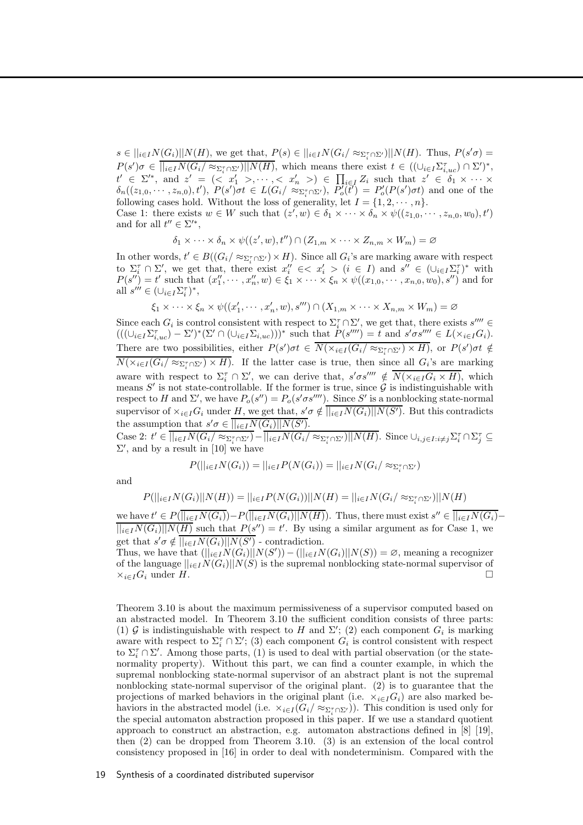$s \in ||_{i \in I} N(G_i) || N(H)$ , we get that,  $P(s) \in ||_{i \in I} N(G_i / \approx_{\Sigma_i^{\tau} \cap \Sigma'}) || N(H)$ . Thus,  $P(s' \sigma) =$  $P(s')\sigma \in \overline{||_{i\in I}N(G_i/\approx_{\Sigma_i^{\tau} \cap \Sigma^{\prime}})||N(H)}$ , which means there exist  $t \in ((\cup_{i\in I}\Sigma_{i,uc}^{\tau}) \cap \Sigma^{\prime})^*$ ,  $t' \in \Sigma'^{*}$ , and  $z' = \langle z \ x_1' > \dots, z \ x_n' > \rangle \in \prod_{i \in I} Z_i$  such that  $z' \in \delta_1 \times \dots \times$  $\delta_n((z_{1,0},\dots,z_{n,0}),t'), P(s')\sigma t \in L(G_i/\approx_{\Sigma_i^{\tau} \cap \Sigma'})$ ,  $\overline{P_o^{\tau}}(\overline{t'}) = P_o'(P(s')\sigma t)$  and one of the following cases hold. Without the loss of generality, let  $I = \{1, 2, \dots, n\}.$ 

Case 1: there exists  $w \in W$  such that  $(z', w) \in \delta_1 \times \cdots \times \delta_n \times \psi((z_{1,0}, \cdots, z_{n,0}, w_0), t')$ and for all  $t'' \in \Sigma'^*$ ,

$$
\delta_1 \times \cdots \times \delta_n \times \psi((z', w), t'') \cap (Z_{1,m} \times \cdots \times Z_{n,m} \times W_m) = \varnothing
$$

In other words,  $t' \in B((G_i/\approx_{\Sigma_i^{\tau} \cap \Sigma'}) \times H)$ . Since all  $G_i$ 's are marking aware with respect to  $\Sigma_i^{\tau} \cap \Sigma'$ , we get that, there exist  $x''_i \in \langle x'_i \rangle (i \in I)$  and  $s'' \in (\cup_{i \in I} \Sigma_i^{\tau})^*$  with  $P(s'') = t'$  such that  $(x''_1, \dots, x''_n, w) \in \xi_1 \times \dots \times \xi_n \times \psi((x_{1,0}, \dots, x_{n,0}, w_0), s'')$  and for all  $s''' \in (\cup_{i \in I} \Sigma_i^{\tau})^*$ ,

$$
\xi_1 \times \cdots \times \xi_n \times \psi((x'_1, \cdots, x'_n, w), s''') \cap (X_{1,m} \times \cdots \times X_{n,m} \times W_m) = \varnothing
$$

Since each  $G_i$  is control consistent with respect to  $\Sigma_i^{\tau} \cap \Sigma'$ , we get that, there exists  $s'''' \in$  $(((\cup_{i\in I}\Sigma_{i,uc}^{\tau})-\Sigma')^*(\Sigma' \cap (\cup_{i\in I}\Sigma_{i,uc})))^*$  such that  $P(s''')=t$  and  $s'\sigma s'''' \in L(\times_{i\in I}G_i)$ . There are two possibilities, either  $P(s')\sigma t \in \overline{N(\times_{i\in I}(G_i/\approx_{\Sigma_i^{\tau}\cap\Sigma')}\times H)}$ , or  $P(s')\sigma t \notin$  $N(\times_{i\in I}(G_i/\approx_{\Sigma_i^{\tau}\cap\Sigma'})\times H)$ . If the latter case is true, then since all  $G_i$ 's are marking aware with respect to  $\Sigma_i^{\tau} \cap \Sigma'$ , we can derive that,  $s' \sigma s'''' \notin \overline{N(\times_{i \in I} G_i \times H)}$ , which means  $S'$  is not state-controllable. If the former is true, since  $G$  is indistinguishable with respect to H and  $\Sigma'$ , we have  $P_o(s'') = P_o(s' \sigma s''')$ . Since S' is a nonblocking state-normal supervisor of  $\times_{i\in I}G_i$  under H, we get that,  $s'\sigma \notin \overline{||_{i\in I}N(G_i)||N(S')}$ . But this contradicts the assumption that  $s'\sigma \in \overline{||_{i\in I}N(G_i)||N(S')}$ .

Case 2:  $t' \in \overline{||_{i\in I}N(G_i/\approx_{\Sigma_i^{\tau} \cap \Sigma^{\prime}})} - \overline{||_{i\in I}N(G_i/\approx_{\Sigma_i^{\tau} \cap \Sigma^{\prime}})} || N(H)$ . Since  $\cup_{i,j\in I: i\neq j}\Sigma_i^{\tau} \cap \Sigma_j^{\tau} \subseteq$  $\Sigma'$ , and by a result in [10] we have

$$
P(||_{i \in I} N(G_i)) = ||_{i \in I} P(N(G_i)) = ||_{i \in I} N(G_i / \approx_{\Sigma_i^{\tau} \cap \Sigma'})
$$

and

$$
P(||_{i \in I} N(G_i)||N(H)) = ||_{i \in I} P(N(G_i))||N(H) = ||_{i \in I} N(G_i/ \approx_{\Sigma_i^{\tau} \cap \Sigma'})||N(H)
$$

we have  $t' \in P(\overline{||_{i\in I}N(G_i)})-P(\overline{||_{i\in I}N(G_i)||N(H)})$ . Thus, there must exist  $s'' \in \overline{||_{i\in I}N(G_i)} ||_{i\in I}N(G_i)||N(H)$  such that  $P(s'') = t'$ . By using a similar argument as for Case 1, we get that  $s'\sigma \notin ||_{i\in I}N(G_i)||N(S')$  - contradiction.

Thus, we have that  $(||_{i\in I}N(\hat{G}_i)||N(S')) - (||_{i\in I}N(G_i)||N(S)) = \varnothing$ , meaning a recognizer of the language  $||_{i\in I}N(G_i)||N(S)$  is the supremal nonblocking state-normal supervisor of  $\times_{i\in I}G_i$  under H.  $\times_{i\in I}G_i$  under H.

Theorem 3.10 is about the maximum permissiveness of a supervisor computed based on an abstracted model. In Theorem 3.10 the sufficient condition consists of three parts: (1) G is indistinguishable with respect to H and  $\Sigma'$ ; (2) each component  $G_i$  is marking aware with respect to  $\Sigma_i^{\tau} \cap \Sigma'$ ; (3) each component  $G_i$  is control consistent with respect to  $\Sigma_i^{\tau} \cap \Sigma'$ . Among those parts, (1) is used to deal with partial observation (or the statenormality property). Without this part, we can find a counter example, in which the supremal nonblocking state-normal supervisor of an abstract plant is not the supremal nonblocking state-normal supervisor of the original plant. (2) is to guarantee that the projections of marked behaviors in the original plant (i.e.  $\times_{i\in I}G_i$ ) are also marked behaviors in the abstracted model (i.e.  $\times_{i\in I} (G_i/\approx_{\Sigma_i^{\tau}\cap\Sigma'}))$ ). This condition is used only for the special automaton abstraction proposed in this paper. If we use a standard quotient approach to construct an abstraction, e.g. automaton abstractions defined in [8] [19], then (2) can be dropped from Theorem 3.10. (3) is an extension of the local control consistency proposed in [16] in order to deal with nondeterminism. Compared with the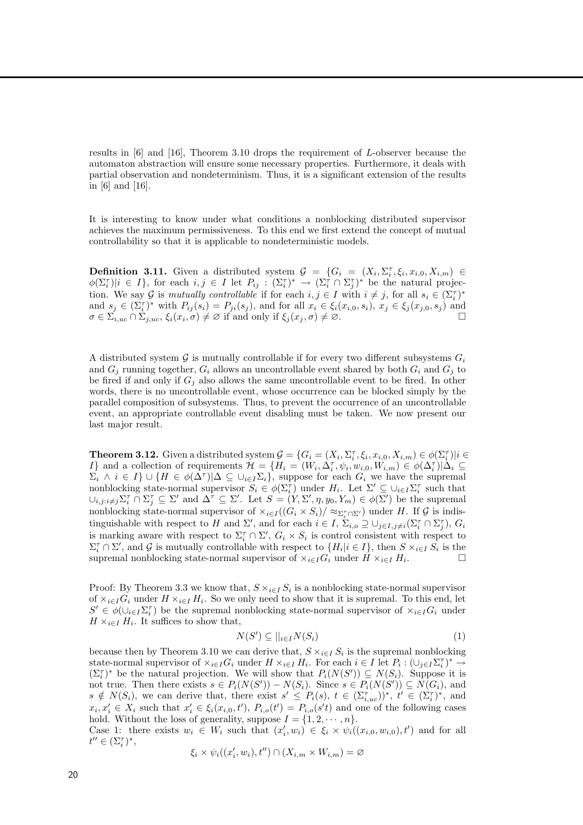results in [6] and [16], Theorem 3.10 drops the requirement of L-observer because the automaton abstraction will ensure some necessary properties. Furthermore, it deals with partial observation and nondeterminism. Thus, it is a significant extension of the results in [6] and [16].

It is interesting to know under what conditions a nonblocking distributed supervisor achieves the maximum permissiveness. To this end we first extend the concept of mutual controllability so that it is applicable to nondeterministic models.

**Definition 3.11.** Given a distributed system  $\mathcal{G} = \{G_i = (X_i, \Sigma_i^{\tau}, \xi_i, x_{i,0}, X_{i,m}) \in$  $\phi(\Sigma_i^{\tau})|i \in I$ , for each  $i, j \in I$  let  $P_{ij} : (\Sigma_i^{\tau})^* \to (\Sigma_i^{\tau} \cap \Sigma_j^{\tau})^*$  be the natural projection. We say G is mutually controllable if for each  $i, j \in I$  with  $i \neq j$ , for all  $s_i \in (\Sigma_i^{\tau})^*$ and  $s_j \in (\Sigma_i^{\tau})^*$  with  $P_{ij}(s_i) = P_{ji}(s_j)$ , and for all  $x_i \in \xi_i(x_{i,0}, s_i)$ ,  $x_j \in \xi_j(x_{j,0}, s_j)$  and  $\sigma \in \Sigma_{i,uc} \cap \Sigma_{j,uc}, \xi_i(x_i, \sigma) \neq \varnothing$  if and only if  $\xi_j(x_j, \sigma) \neq \varnothing$ .

A distributed system  $\mathcal G$  is mutually controllable if for every two different subsystems  $G_i$ and  $G_i$  running together,  $G_i$  allows an uncontrollable event shared by both  $G_i$  and  $G_j$  to be fired if and only if  $G_i$  also allows the same uncontrollable event to be fired. In other words, there is no uncontrollable event, whose occurrence can be blocked simply by the parallel composition of subsystems. Thus, to prevent the occurrence of an uncontrollable event, an appropriate controllable event disabling must be taken. We now present our last major result.

**Theorem 3.12.** Given a distributed system  $\mathcal{G} = \{G_i = (X_i, \Sigma_i^{\tau}, \xi_i, x_{i,0}, X_{i,m}) \in \phi(\Sigma_i^{\tau}) | i \in$ I} and a collection of requirements  $\mathcal{H} = \{H_i = (W_i, \Delta_i^{\tau}, \psi_i, w_{i,0}, W_{i,m}) \in \phi(\Delta_i^{\tau}) | \Delta_i \subseteq$  $\Sigma_i \wedge i \in I$   $\cup$   $\{H \in \phi(\Delta^{\tau}) | \Delta \subseteq \cup_{i \in I} \Sigma_i\}$ , suppose for each  $G_i$  we have the supremal nonblocking state-normal supervisor  $S_i \in \phi(\Sigma_i^{\tau})$  under  $H_i$ . Let  $\Sigma' \subseteq \cup_{i \in I} \Sigma_i^{\tau}$  such that  $\cup_{i,j:i\neq j}\Sigma_i^{\tau}\cap\Sigma_j^{\tau}\subseteq \Sigma'$  and  $\Delta^{\tau}\subseteq \Sigma'$ . Let  $S=(Y,\Sigma',\eta,y_0,Y_m)\in \phi(\Sigma')$  be the supremal nonblocking state-normal supervisor of  $\times_{i\in I}((G_i \times S_i)/\approx_{\Sigma_i^{\tau}\cap\Sigma'})$  under H. If G is indistinguishable with respect to H and  $\Sigma'$ , and for each  $i \in I$ ,  $\Sigma_{i,o} \supseteq \bigcup_{j \in I, j \neq i} (\Sigma_i^{\tau} \cap \Sigma_j^{\tau}), G_i$ is marking aware with respect to  $\Sigma_i^{\tau} \cap \Sigma'$ ,  $G_i \times S_i$  is control consistent with respect to  $\Sigma_i^{\tau} \cap \Sigma'$ , and G is mutually controllable with respect to  $\{H_i | i \in I\}$ , then  $S \times_{i \in I} S_i$  is the supremal nonblocking state-normal supervisor of  $\times_{i\in I}G_i$  under  $H\times_{i\in I}H_i$ . . — П

Proof: By Theorem 3.3 we know that,  $S \times_{i \in I} S_i$  is a nonblocking state-normal supervisor of  $\times_{i\in I}G_i$  under  $H\times_{i\in I}H_i$ . So we only need to show that it is supremal. To this end, let  $S' \in \phi(\cup_{i \in I} \Sigma_i^{\tau})$  be the supremal nonblocking state-normal supervisor of  $\times_{i \in I} G_i$  under  $H \times_{i \in I} H_i$ . It suffices to show that,

$$
N(S') \subseteq ||_{i \in I} N(S_i)
$$
\n<sup>(1)</sup>

because then by Theorem 3.10 we can derive that,  $S \times_{i \in I} S_i$  is the supremal nonblocking state-normal supervisor of  $\times_{i\in I}G_i$  under  $H\times_{i\in I}H_i$ . For each  $i\in I$  let  $P_i:(\cup_{j\in I}\Sigma_i^{\tau})^*\to$  $(\Sigma_i^{\tau})^*$  be the natural projection. We will show that  $P_i(N(S')) \subseteq N(S_i)$ . Suppose it is not true. Then there exists  $s \in P_i(N(S')) - N(S_i)$ . Since  $s \in P_i(N(S')) \subseteq N(G_i)$ , and  $s \notin N(S_i)$ , we can derive that, there exist  $s' \leq P_i(s), t \in (\Sigma_{i,uc}^{\tau})^*, t' \in (\Sigma_i^{\tau})^*,$  and  $x_i, x'_i \in X_i$  such that  $x'_i \in \xi_i(x_{i,0}, t')$ ,  $P_{i,o}(t') = P_{i,o}(s't)$  and one of the following cases hold. Without the loss of generality, suppose  $I = \{1, 2, \dots, n\}.$ 

Case 1: there exists  $w_i \in W_i$  such that  $(x'_i, w_i) \in \xi_i \times \psi_i((x_{i,0}, w_{i,0}), t')$  and for all  $t'' \in (\Sigma_i^{\tau})^*,$ 

$$
\xi_i \times \psi_i((x'_i, w_i), t'') \cap (X_{i,m} \times W_{i,m}) = \varnothing
$$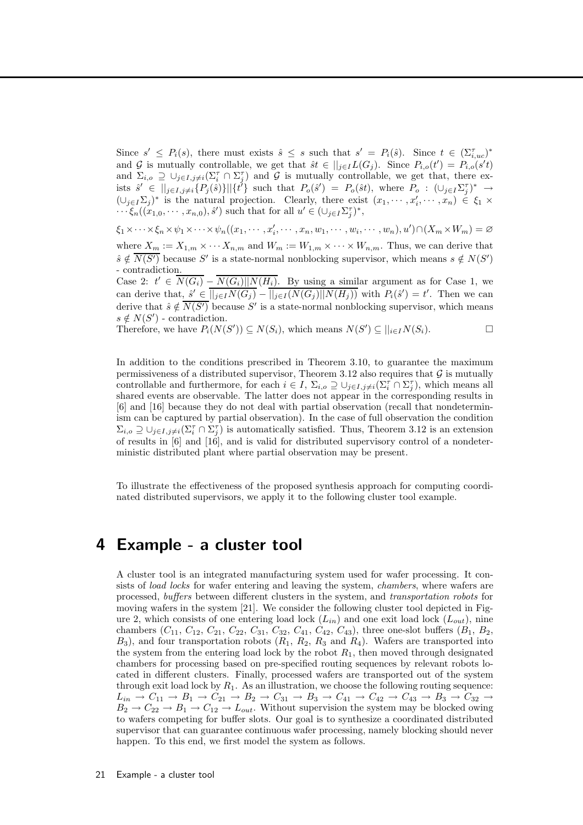Since  $s' \leq P_i(s)$ , there must exists  $\hat{s} \leq s$  such that  $s' = P_i(\hat{s})$ . Since  $t \in (\Sigma_{i,uc}^{\tau})^*$ and G is mutually controllable, we get that  $\hat{s}t \in ||_{j\in I}L(G_j)$ . Since  $P_{i,o}(t') = P_{i,o}(s't)$ and  $\Sigma_{i,o} \supseteq \bigcup_{j\in I,j\neq i} (\Sigma_i^{\tau} \cap \Sigma_j^{\tau})$  and G is mutually controllable, we get that, there exists  $\hat{s}' \in ||_{j\in I, j\neq i} \{P_j(\hat{s})\}||\{\tilde{t}'\}$  such that  $P_o(\hat{s}') = P_o(\hat{s}t)$ , where  $P_o : (\cup_{j\in I} \Sigma_j^{\tau})^* \to$  $(\cup_{j\in I}\Sigma_j)^*$  is the natural projection. Clearly, there exist  $(x_1,\dots,x'_i,\dots,x_n)\in \xi_1\times$  $\cdots \xi_n((x_{1,0},\cdots,x_{n,0}),\hat{s}')$  such that for all  $u' \in (\cup_{j\in I} \Sigma_j^{\tau})^*$ ,

 $\xi_1 \times \cdots \times \xi_n \times \psi_1 \times \cdots \times \psi_n((x_1, \cdots, x_i', \cdots, x_n, w_1, \cdots, w_i, \cdots, w_n), u') \cap (X_m \times W_m) = \varnothing$ where  $X_m := X_{1,m} \times \cdots X_{n,m}$  and  $W_m := W_{1,m} \times \cdots \times W_{n,m}$ . Thus, we can derive that  $\hat{s} \notin \overline{N(S')}$  because S' is a state-normal nonblocking supervisor, which means  $s \notin N(S')$ - contradiction.

Case 2:  $t' \in \overline{N(G_i)} - \overline{N(G_i)} || N(H_i)$ . By using a similar argument as for Case 1, we can derive that,  $\hat{s}' \in \overline{||j\in I}(N(G_j)) - \overline{||j\in I}(N(G_j)||N(H_j))}$  with  $P_i(\hat{s}') = t'$ . Then we can derive that  $\hat{s} \notin \overline{N(S')}$  because S' is a state-normal nonblocking supervisor, which means  $s \notin N(S')$  - contradiction.

Therefore, we have  $P_i(N(S')) \subseteq N(S_i)$ , which means  $N(S') \subseteq ||_{i \in I} N(S_i)$ .

In addition to the conditions prescribed in Theorem 3.10, to guarantee the maximum permissiveness of a distributed supervisor, Theorem 3.12 also requires that  $\mathcal G$  is mutually controllable and furthermore, for each  $i \in I$ ,  $\Sigma_{i,o} \supseteq \bigcup_{j\in I, j\neq i} (\Sigma_i^{\tau} \cap \Sigma_j^{\tau})$ , which means all shared events are observable. The latter does not appear in the corresponding results in [6] and [16] because they do not deal with partial observation (recall that nondeterminism can be captured by partial observation). In the case of full observation the condition  $\Sigma_{i,o} \supseteq \bigcup_{j\in I,j\neq i} (\Sigma_i^{\tau} \cap \Sigma_j^{\tau})$  is automatically satisfied. Thus, Theorem 3.12 is an extension of results in  $[6]$  and  $[16]$ , and is valid for distributed supervisory control of a nondeterministic distributed plant where partial observation may be present.

To illustrate the effectiveness of the proposed synthesis approach for computing coordinated distributed supervisors, we apply it to the following cluster tool example.

### 4 Example - a cluster tool

A cluster tool is an integrated manufacturing system used for wafer processing. It consists of *load locks* for wafer entering and leaving the system, *chambers*, where wafers are processed, buffers between different clusters in the system, and transportation robots for moving wafers in the system [21]. We consider the following cluster tool depicted in Figure 2, which consists of one entering load lock  $(L_{in})$  and one exit load lock  $(L_{out})$ , nine chambers  $(C_{11}, C_{12}, C_{21}, C_{22}, C_{31}, C_{32}, C_{41}, C_{42}, C_{43})$ , three one-slot buffers  $(B_1, B_2,$  $B_3$ ), and four transportation robots  $(R_1, R_2, R_3, A_4)$ . Wafers are transported into the system from the entering load lock by the robot  $R_1$ , then moved through designated chambers for processing based on pre-specified routing sequences by relevant robots located in different clusters. Finally, processed wafers are transported out of the system through exit load lock by  $R_1$ . As an illustration, we choose the following routing sequence:  $L_{in} \to C_{11} \to B_1 \to C_{21} \to B_2 \to C_{31} \to B_3 \to C_{41} \to C_{42} \to C_{43} \to B_3 \to C_{32} \to$  $B_2 \to C_{22} \to B_1 \to C_{12} \to L_{out}$ . Without supervision the system may be blocked owing to wafers competing for buffer slots. Our goal is to synthesize a coordinated distributed supervisor that can guarantee continuous wafer processing, namely blocking should never happen. To this end, we first model the system as follows.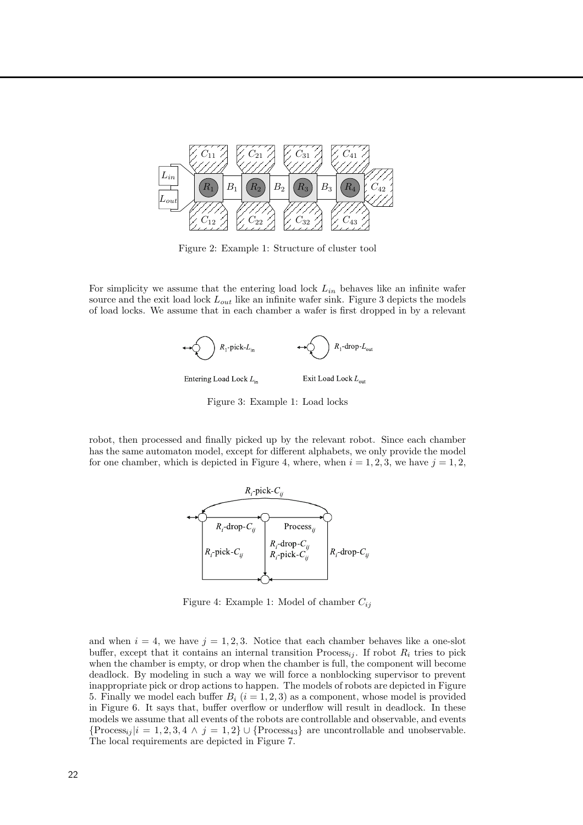

Figure 2: Example 1: Structure of cluster tool

For simplicity we assume that the entering load lock  $L_{in}$  behaves like an infinite wafer source and the exit load lock  $L_{out}$  like an infinite wafer sink. Figure 3 depicts the models of load locks. We assume that in each chamber a wafer is first dropped in by a relevant



Figure 3: Example 1: Load locks

robot, then processed and finally picked up by the relevant robot. Since each chamber has the same automaton model, except for different alphabets, we only provide the model for one chamber, which is depicted in Figure 4, where, when  $i = 1, 2, 3$ , we have  $j = 1, 2$ ,



Figure 4: Example 1: Model of chamber  $C_{ij}$ 

and when  $i = 4$ , we have  $j = 1, 2, 3$ . Notice that each chamber behaves like a one-slot buffer, except that it contains an internal transition  $\text{Process}_{ii}$ . If robot  $R_i$  tries to pick when the chamber is empty, or drop when the chamber is full, the component will become deadlock. By modeling in such a way we will force a nonblocking supervisor to prevent inappropriate pick or drop actions to happen. The models of robots are depicted in Figure 5. Finally we model each buffer  $B_i$   $(i = 1, 2, 3)$  as a component, whose model is provided in Figure 6. It says that, buffer overflow or underflow will result in deadlock. In these models we assume that all events of the robots are controllable and observable, and events  ${Process<sub>ij</sub> }$   $|i = 1, 2, 3, 4 \wedge j = 1, 2$   $\cup$   ${Process<sub>43</sub>}$  are uncontrollable and unobservable. The local requirements are depicted in Figure 7.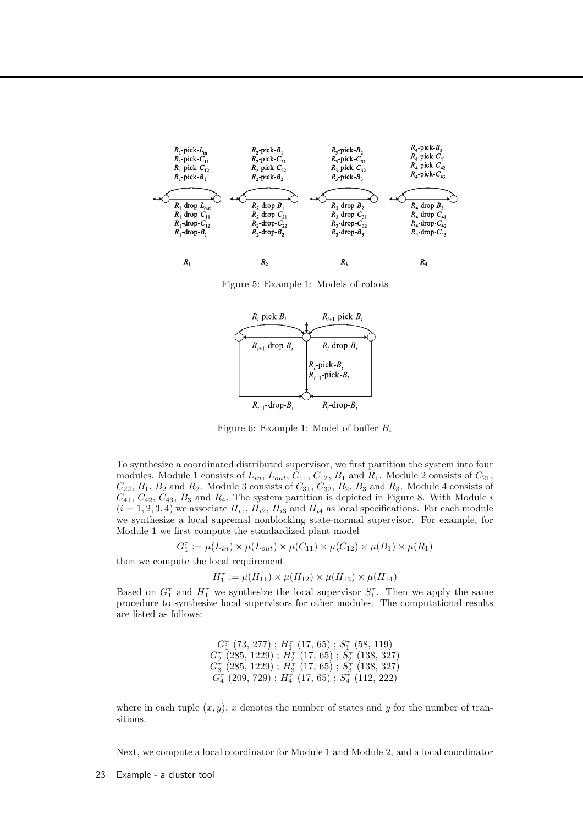

Figure 5: Example 1: Models of robots



Figure 6: Example 1: Model of buffer  $B_i$ 

To synthesize a coordinated distributed supervisor, we first partition the system into four modules. Module 1 consists of  $L_{in}$ ,  $L_{out}$ ,  $C_{11}$ ,  $C_{12}$ ,  $B_1$  and  $R_1$ . Module 2 consists of  $C_{21}$ ,  $C_{22}$ ,  $B_1$ ,  $B_2$  and  $R_2$ . Module 3 consists of  $C_{31}$ ,  $C_{32}$ ,  $B_2$ ,  $B_3$  and  $R_3$ . Module 4 consists of  $C_{41}, C_{42}, C_{43}, B_3$  and  $R_4$ . The system partition is depicted in Figure 8. With Module i  $(i = 1, 2, 3, 4)$  we associate  $H_{i1}$ ,  $H_{i2}$ ,  $H_{i3}$  and  $H_{i4}$  as local specifications. For each module we synthesize a local supremal nonblocking state-normal supervisor. For example, for Module 1 we first compute the standardized plant model

$$
G_1^{\tau} := \mu(L_{in}) \times \mu(L_{out}) \times \mu(C_{11}) \times \mu(C_{12}) \times \mu(B_1) \times \mu(R_1)
$$

then we compute the local requirement

$$
H_1^{\tau} := \mu(H_{11}) \times \mu(H_{12}) \times \mu(H_{13}) \times \mu(H_{14})
$$

Based on  $G_1^{\tau}$  and  $H_1^{\tau}$  we synthesize the local supervisor  $S_1^{\tau}$ . Then we apply the same procedure to synthesize local supervisors for other modules. The computational results are listed as follows:

> $G_1^{\tau}$  (73, 277);  $H_1^{\tau}$  (17, 65);  $S_1^{\tau}$  (58, 119)  $G_{2}^{\tau}$  (285, 1229) ;  $H_{2}^{\tau}$  (17, 65) ;  $\bar{S_{2}^{\tau}}$  (138, 327)  $G_{3}^{\overline{\tau}}$   $(285,\, 1229)$  ;  $H_{3}^{\overline{\tau}}$   $(17,\, 65)$  ;  $S_{3}^{\overline{\tau}}$   $(138,\, 327)$  $\overline{G^{\tau}_{4}}$   $(209,\,729)$  ;  $H^{\tau}_{4}$   $(17,\,65)$  ;  $S^{\tau}_{4}$   $(112,\,222)$

where in each tuple  $(x, y)$ , x denotes the number of states and y for the number of transitions.

Next, we compute a local coordinator for Module 1 and Module 2, and a local coordinator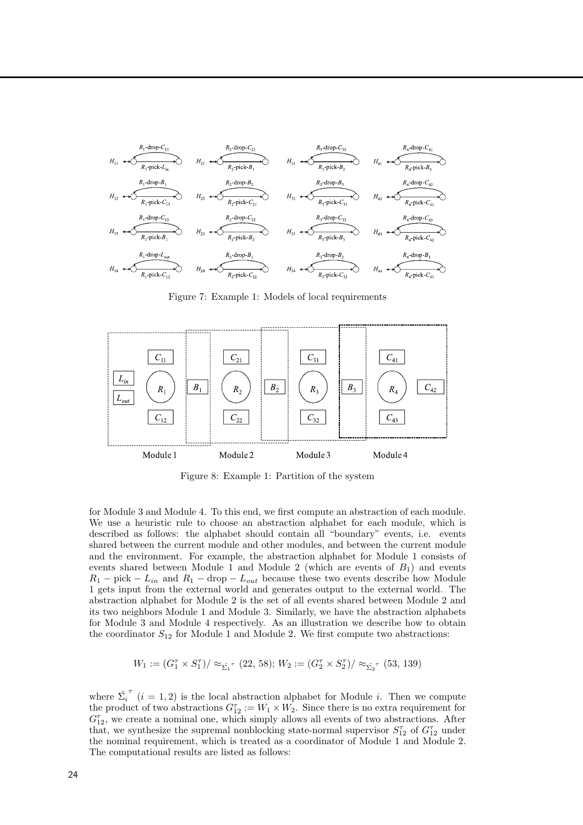

Figure 7: Example 1: Models of local requirements



Figure 8: Example 1: Partition of the system

for Module 3 and Module 4. To this end, we first compute an abstraction of each module. We use a heuristic rule to choose an abstraction alphabet for each module, which is described as follows: the alphabet should contain all "boundary" events, i.e. events shared between the current module and other modules, and between the current module and the environment. For example, the abstraction alphabet for Module 1 consists of events shared between Module 1 and Module 2 (which are events of  $B_1$ ) and events  $R_1$  – pick –  $L_{in}$  and  $R_1$  – drop –  $L_{out}$  because these two events describe how Module 1 gets input from the external world and generates output to the external world. The abstraction alphabet for Module 2 is the set of all events shared between Module 2 and its two neighbors Module 1 and Module 3. Similarly, we have the abstraction alphabets for Module 3 and Module 4 respectively. As an illustration we describe how to obtain the coordinator  $S_{12}$  for Module 1 and Module 2. We first compute two abstractions:

$$
W_1 := (G_1^{\tau} \times S_1^{\tau}) / \approx_{\hat{\Sigma_1}^{\tau}} (22, 58); W_2 := (G_2^{\tau} \times S_2^{\tau}) / \approx_{\hat{\Sigma_2}^{\tau}} (53, 139)
$$

where  $\hat{\Sigma_i}$  $\tau$  (i = 1, 2) is the local abstraction alphabet for Module i. Then we compute the product of two abstractions  $G_{12}^{\tau} := W_1 \times W_2$ . Since there is no extra requirement for  $G_{12}^{\tau}$ , we create a nominal one, which simply allows all events of two abstractions. After that, we synthesize the supremal nonblocking state-normal supervisor  $S_{12}^{\tau}$  of  $G_{12}^{\tau}$  under the nominal requirement, which is treated as a coordinator of Module 1 and Module 2. The computational results are listed as follows: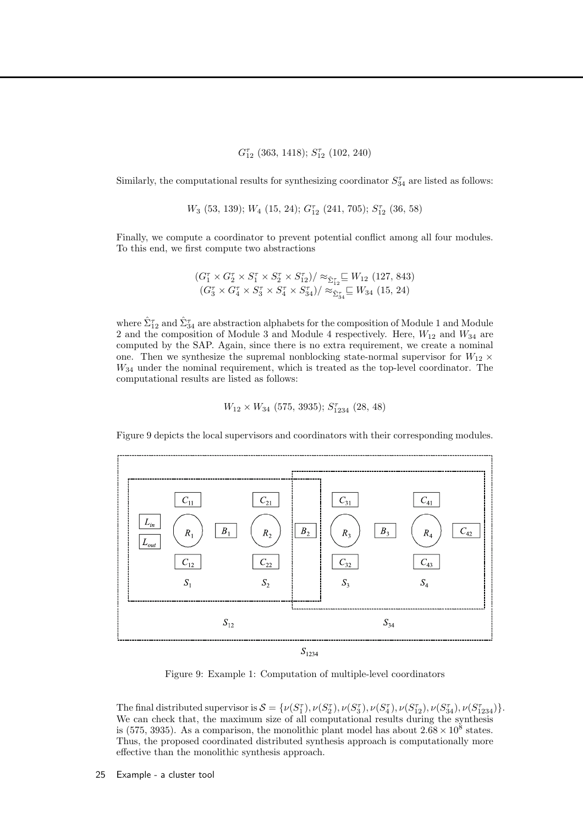$G_{12}^{\tau}$  (363, 1418);  $S_{12}^{\tau}$  (102, 240)

Similarly, the computational results for synthesizing coordinator  $S_{34}^{\tau}$  are listed as follows:

 $W_3$  (53, 139);  $W_4$  (15, 24);  $G_{12}^{\tau}$  (241, 705);  $S_{12}^{\tau}$  (36, 58)

Finally, we compute a coordinator to prevent potential conflict among all four modules. To this end, we first compute two abstractions

$$
\frac{(G_1^{\tau} \times G_2^{\tau} \times S_1^{\tau} \times S_2^{\tau} \times S_{12}^{\tau})}{(G_3^{\tau} \times G_4^{\tau} \times S_3^{\tau} \times S_4^{\tau} \times S_{34}^{\tau})} \approx_{\hat{\Sigma}_{34}^{\tau}}^{\infty} W_{34} (127, 843)
$$

where  $\hat{\Sigma}_{12}^{\tau}$  and  $\hat{\Sigma}_{34}^{\tau}$  are abstraction alphabets for the composition of Module 1 and Module 2 and the composition of Module 3 and Module 4 respectively. Here,  $W_{12}$  and  $W_{34}$  are computed by the SAP. Again, since there is no extra requirement, we create a nominal one. Then we synthesize the supremal nonblocking state-normal supervisor for  $W_{12} \times$ W<sup>34</sup> under the nominal requirement, which is treated as the top-level coordinator. The computational results are listed as follows:

 $W_{12} \times W_{34}$  (575, 3935);  $S_{1234}^{\tau}$  (28, 48)

Figure 9 depicts the local supervisors and coordinators with their corresponding modules.



Figure 9: Example 1: Computation of multiple-level coordinators

The final distributed supervisor is  $S = \{ \nu(S_1^{\tau}), \nu(S_2^{\tau}), \nu(S_3^{\tau}), \nu(S_4^{\tau}), \nu(S_{12}^{\tau}), \nu(S_{34}^{\tau}), \nu(S_{1234}^{\tau}) \}.$ We can check that, the maximum size of all computational results during the synthesis is (575, 3935). As a comparison, the monolithic plant model has about  $2.68 \times 10^8$  states. Thus, the proposed coordinated distributed synthesis approach is computationally more effective than the monolithic synthesis approach.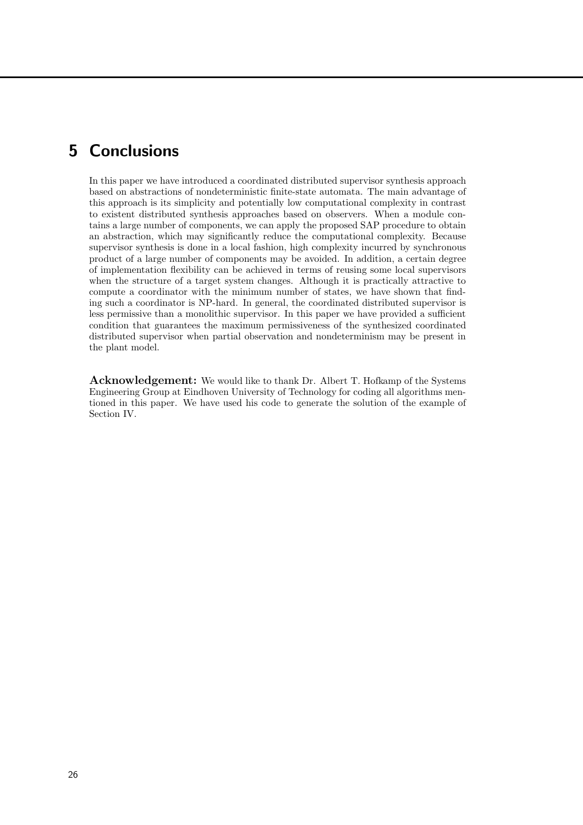### 5 Conclusions

In this paper we have introduced a coordinated distributed supervisor synthesis approach based on abstractions of nondeterministic finite-state automata. The main advantage of this approach is its simplicity and potentially low computational complexity in contrast to existent distributed synthesis approaches based on observers. When a module contains a large number of components, we can apply the proposed SAP procedure to obtain an abstraction, which may significantly reduce the computational complexity. Because supervisor synthesis is done in a local fashion, high complexity incurred by synchronous product of a large number of components may be avoided. In addition, a certain degree of implementation flexibility can be achieved in terms of reusing some local supervisors when the structure of a target system changes. Although it is practically attractive to compute a coordinator with the minimum number of states, we have shown that finding such a coordinator is NP-hard. In general, the coordinated distributed supervisor is less permissive than a monolithic supervisor. In this paper we have provided a sufficient condition that guarantees the maximum permissiveness of the synthesized coordinated distributed supervisor when partial observation and nondeterminism may be present in the plant model.

Acknowledgement: We would like to thank Dr. Albert T. Hofkamp of the Systems Engineering Group at Eindhoven University of Technology for coding all algorithms mentioned in this paper. We have used his code to generate the solution of the example of Section IV.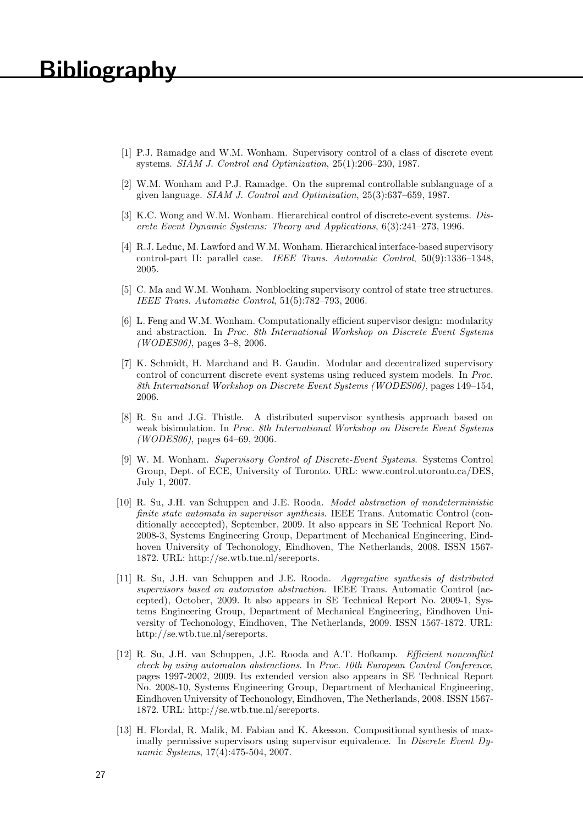# **Bibliography**

- [1] P.J. Ramadge and W.M. Wonham. Supervisory control of a class of discrete event systems. SIAM J. Control and Optimization, 25(1):206–230, 1987.
- [2] W.M. Wonham and P.J. Ramadge. On the supremal controllable sublanguage of a given language. SIAM J. Control and Optimization, 25(3):637–659, 1987.
- [3] K.C. Wong and W.M. Wonham. Hierarchical control of discrete-event systems. Discrete Event Dynamic Systems: Theory and Applications, 6(3):241–273, 1996.
- [4] R.J. Leduc, M. Lawford and W.M. Wonham. Hierarchical interface-based supervisory control-part II: parallel case. IEEE Trans. Automatic Control, 50(9):1336–1348, 2005.
- [5] C. Ma and W.M. Wonham. Nonblocking supervisory control of state tree structures. IEEE Trans. Automatic Control, 51(5):782–793, 2006.
- [6] L. Feng and W.M. Wonham. Computationally efficient supervisor design: modularity and abstraction. In Proc. 8th International Workshop on Discrete Event Systems (*WODES06*), pages  $3-8$ , 2006.
- [7] K. Schmidt, H. Marchand and B. Gaudin. Modular and decentralized supervisory control of concurrent discrete event systems using reduced system models. In Proc. 8th International Workshop on Discrete Event Systems (WODES06), pages 149–154, 2006.
- [8] R. Su and J.G. Thistle. A distributed supervisor synthesis approach based on weak bisimulation. In Proc. 8th International Workshop on Discrete Event Systems  $(WODES06)$ , pages 64–69, 2006.
- [9] W. M. Wonham. Supervisory Control of Discrete-Event Systems. Systems Control Group, Dept. of ECE, University of Toronto. URL: www.control.utoronto.ca/DES, July 1, 2007.
- [10] R. Su, J.H. van Schuppen and J.E. Rooda. Model abstraction of nondeterministic finite state automata in supervisor synthesis. IEEE Trans. Automatic Control (conditionally acccepted), September, 2009. It also appears in SE Technical Report No. 2008-3, Systems Engineering Group, Department of Mechanical Engineering, Eindhoven University of Techonology, Eindhoven, The Netherlands, 2008. ISSN 1567- 1872. URL: http://se.wtb.tue.nl/sereports.
- [11] R. Su, J.H. van Schuppen and J.E. Rooda. Aggregative synthesis of distributed supervisors based on automaton abstraction. IEEE Trans. Automatic Control (accepted), October, 2009. It also appears in SE Technical Report No. 2009-1, Systems Engineering Group, Department of Mechanical Engineering, Eindhoven University of Techonology, Eindhoven, The Netherlands, 2009. ISSN 1567-1872. URL: http://se.wtb.tue.nl/sereports.
- [12] R. Su, J.H. van Schuppen, J.E. Rooda and A.T. Hofkamp. Efficient nonconflict check by using automaton abstractions. In Proc. 10th European Control Conference, pages 1997-2002, 2009. Its extended version also appears in SE Technical Report No. 2008-10, Systems Engineering Group, Department of Mechanical Engineering, Eindhoven University of Techonology, Eindhoven, The Netherlands, 2008. ISSN 1567- 1872. URL: http://se.wtb.tue.nl/sereports.
- [13] H. Flordal, R. Malik, M. Fabian and K. Akesson. Compositional synthesis of maximally permissive supervisors using supervisor equivalence. In Discrete Event Dynamic Systems, 17(4):475-504, 2007.